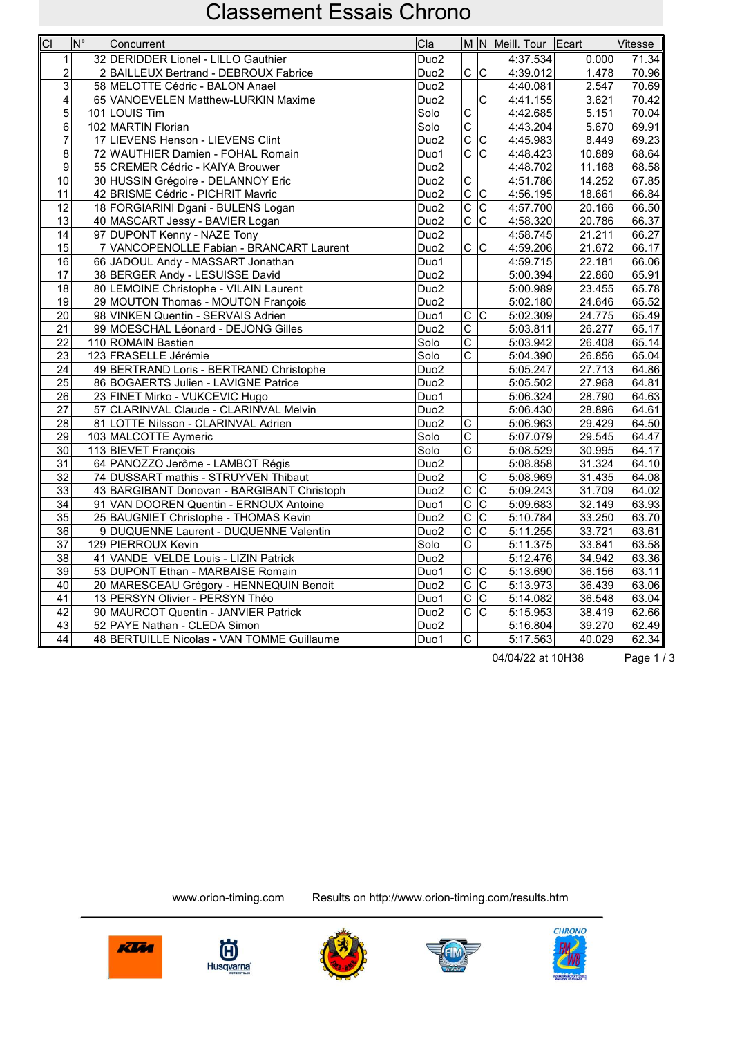| $\overline{C}$  | $ N^{\circ} $ | Concurrent                                 | Cla                      |                         |                                  | M N Meill. Tour Ecart |        | Vitesse |
|-----------------|---------------|--------------------------------------------|--------------------------|-------------------------|----------------------------------|-----------------------|--------|---------|
| 1               |               | 32 DERIDDER Lionel - LILLO Gauthier        | Duo <sub>2</sub>         |                         |                                  | 4:37.534              | 0.000  | 71.34   |
| $\overline{2}$  |               | 2 BAILLEUX Bertrand - DEBROUX Fabrice      | Duo <sub>2</sub>         | $\overline{C}$          | $\overline{\mathsf{C}}$          | 4:39.012              | 1.478  | 70.96   |
| 3               |               | 58 MELOTTE Cédric - BALON Anael            | Duo <sub>2</sub>         |                         |                                  | 4:40.081              | 2.547  | 70.69   |
| 4               |               | 65 VANOEVELEN Matthew-LURKIN Maxime        | Duo <sub>2</sub>         |                         | $\mathsf{C}$                     | 4:41.155              | 3.621  | 70.42   |
| 5               |               | 101 LOUIS Tim                              | Solo                     | C                       |                                  | 4:42.685              | 5.151  | 70.04   |
| 6               |               | 102 MARTIN Florian                         | $\overline{\text{Solo}}$ | $\overline{\mathrm{c}}$ |                                  | 4:43.204              | 5.670  | 69.91   |
| $\overline{7}$  |               | 17 LIEVENS Henson - LIEVENS Clint          | Duo <sub>2</sub>         | $\overline{C}$          | $\overline{\mathsf{c}}$          | 4:45.983              | 8.449  | 69.23   |
| 8               |               | 72 WAUTHIER Damien - FOHAL Romain          | Duo1                     | $\overline{c c}$        |                                  | 4:48.423              | 10.889 | 68.64   |
| 9               |               | 55 CREMER Cédric - KAIYA Brouwer           | Duo <sub>2</sub>         |                         |                                  | 4:48.702              | 11.168 | 68.58   |
| 10              |               | 30 HUSSIN Grégoire - DELANNOY Eric         | Duo <sub>2</sub>         | $\overline{\mathrm{c}}$ |                                  | 4:51.786              | 14.252 | 67.85   |
| 11              |               | 42 BRISME Cédric - PICHRIT Mavric          | Duo <sub>2</sub>         | $\overline{C}$          | $ \overline{\text{c}} $          | 4:56.195              | 18.661 | 66.84   |
| 12              |               | 18 FORGIARINI Dgani - BULENS Logan         | Duo <sub>2</sub>         | $\overline{\text{c}}$   | $\overline{C}$                   | 4:57.700              | 20.166 | 66.50   |
| 13              |               | 40 MASCART Jessy - BAVIER Logan            | Duo <sub>2</sub>         | $\overline{C}$          | $ \overline{\text{c}} $          | 4:58.320              | 20.786 | 66.37   |
| 14              |               | 97 DUPONT Kenny - NAZE Tony                | Duo <sub>2</sub>         |                         |                                  | 4:58.745              | 21.211 | 66.27   |
| 15              |               | 7 VANCOPENOLLE Fabian - BRANCART Laurent   | Duo <sub>2</sub>         | $\overline{C}$          | lc.                              | 4:59.206              | 21.672 | 66.17   |
| 16              |               | 66 JADOUL Andy - MASSART Jonathan          | Duo1                     |                         |                                  | 4:59.715              | 22.181 | 66.06   |
| 17              |               | 38 BERGER Andy - LESUISSE David            | Duo <sub>2</sub>         |                         |                                  | 5:00.394              | 22.860 | 65.91   |
| 18              |               | 80 LEMOINE Christophe - VILAIN Laurent     | Duo <sub>2</sub>         |                         |                                  | 5:00.989              | 23.455 | 65.78   |
| 19              |               | 29 MOUTON Thomas - MOUTON François         | Duo <sub>2</sub>         |                         |                                  | 5:02.180              | 24.646 | 65.52   |
| 20              |               | 98 VINKEN Quentin - SERVAIS Adrien         | Duo1                     | $c\overline{c}$         |                                  | 5:02.309              | 24.775 | 65.49   |
| $\overline{21}$ |               | 99 MOESCHAL Léonard - DEJONG Gilles        | Duo <sub>2</sub>         | $\overline{\text{c}}$   |                                  | 5:03.811              | 26.277 | 65.17   |
| 22              |               | 110 ROMAIN Bastien                         | Solo                     | $\overline{C}$          |                                  | 5:03.942              | 26.408 | 65.14   |
| 23              |               | 123 FRASELLE Jérémie                       | Solo                     | $\overline{\mathrm{c}}$ |                                  | 5:04.390              | 26.856 | 65.04   |
| 24              |               | 49 BERTRAND Loris - BERTRAND Christophe    | Duo <sub>2</sub>         |                         |                                  | 5:05.247              | 27.713 | 64.86   |
| 25              |               | 86 BOGAERTS Julien - LAVIGNE Patrice       | Duo <sub>2</sub>         |                         |                                  | 5:05.502              | 27.968 | 64.81   |
| 26              |               | 23 FINET Mirko - VUKCEVIC Hugo             | Duo1                     |                         |                                  | 5:06.324              | 28.790 | 64.63   |
| 27              |               | 57 CLARINVAL Claude - CLARINVAL Melvin     | Duo <sub>2</sub>         |                         |                                  | 5:06.430              | 28.896 | 64.61   |
| 28              |               | 81 LOTTE Nilsson - CLARINVAL Adrien        | Duo <sub>2</sub>         | $\overline{\mathrm{c}}$ |                                  | 5:06.963              | 29.429 | 64.50   |
| 29              |               | 103 MALCOTTE Aymeric                       | Solo                     | $\overline{\mathsf{c}}$ |                                  | 5:07.079              | 29.545 | 64.47   |
| $\overline{30}$ |               | 113 BIEVET François                        | Solo                     | $\overline{\text{c}}$   |                                  | 5:08.529              | 30.995 | 64.17   |
| 31              |               | 64 PANOZZO Jerôme - LAMBOT Régis           | Duo <sub>2</sub>         |                         |                                  | 5:08.858              | 31.324 | 64.10   |
| 32              |               | 74 DUSSART mathis - STRUYVEN Thibaut       | Duo <sub>2</sub>         |                         | $\overline{C}$                   | 5:08.969              | 31.435 | 64.08   |
| 33              |               | 43 BARGIBANT Donovan - BARGIBANT Christoph | Duo <sub>2</sub>         | $\overline{\mathrm{c}}$ | $ \overline{\text{c}} $          | 5:09.243              | 31.709 | 64.02   |
| 34              |               | 91 VAN DOOREN Quentin - ERNOUX Antoine     | Duo1                     | $\overline{\mathsf{c}}$ | $\overline{\text{c}}$            | 5:09.683              | 32.149 | 63.93   |
| $\overline{35}$ |               | 25 BAUGNIET Christophe - THOMAS Kevin      | Duo <sub>2</sub>         | $\overline{\text{c}}$   | $\overline{\text{c}}$            | 5:10.784              | 33.250 | 63.70   |
| 36              |               | 9 DUQUENNE Laurent - DUQUENNE Valentin     | Duo <sub>2</sub>         | $\overline{C}$          | $\overline{\text{c}}$            | 5:11.255              | 33.721 | 63.61   |
| 37              |               | 129 PIERROUX Kevin                         | Solo                     | $\overline{\text{c}}$   |                                  | 5:11.375              | 33.841 | 63.58   |
| 38              |               | 41 VANDE VELDE Louis - LIZIN Patrick       | Duo <sub>2</sub>         |                         |                                  | 5:12.476              | 34.942 | 63.36   |
| 39              |               | 53 DUPONT Ethan - MARBAISE Romain          | Duo1                     | $\overline{C}$          | $\mathsf C$                      | 5:13.690              | 36.156 | 63.11   |
| 40              |               | 20 MARESCEAU Grégory - HENNEQUIN Benoit    | Duo <sub>2</sub>         | $\overline{C}$          | $\overline{\overline{\text{c}}}$ | 5:13.973              | 36.439 | 63.06   |
| 41              |               | 13 PERSYN Olivier - PERSYN Théo            | Duo1                     | $\overline{\mathsf{C}}$ | $ \overline{\text{c}} $          | 5:14.082              | 36.548 | 63.04   |
| 42              |               | 90 MAURCOT Quentin - JANVIER Patrick       | Duo <sub>2</sub>         | $\overline{\mathrm{c}}$ | $\overline{\text{c}}$            | 5:15.953              | 38.419 | 62.66   |
| 43              |               | 52 PAYE Nathan - CLEDA Simon               | Duo <sub>2</sub>         |                         |                                  | 5:16.804              | 39.270 | 62.49   |
| $\overline{44}$ |               | 48 BERTUILLE Nicolas - VAN TOMME Guillaume | Duo1                     | $\overline{\mathsf{c}}$ |                                  | 5:17.563              | 40.029 | 62.34   |

04/04/22 at 10H38 Page 1/3









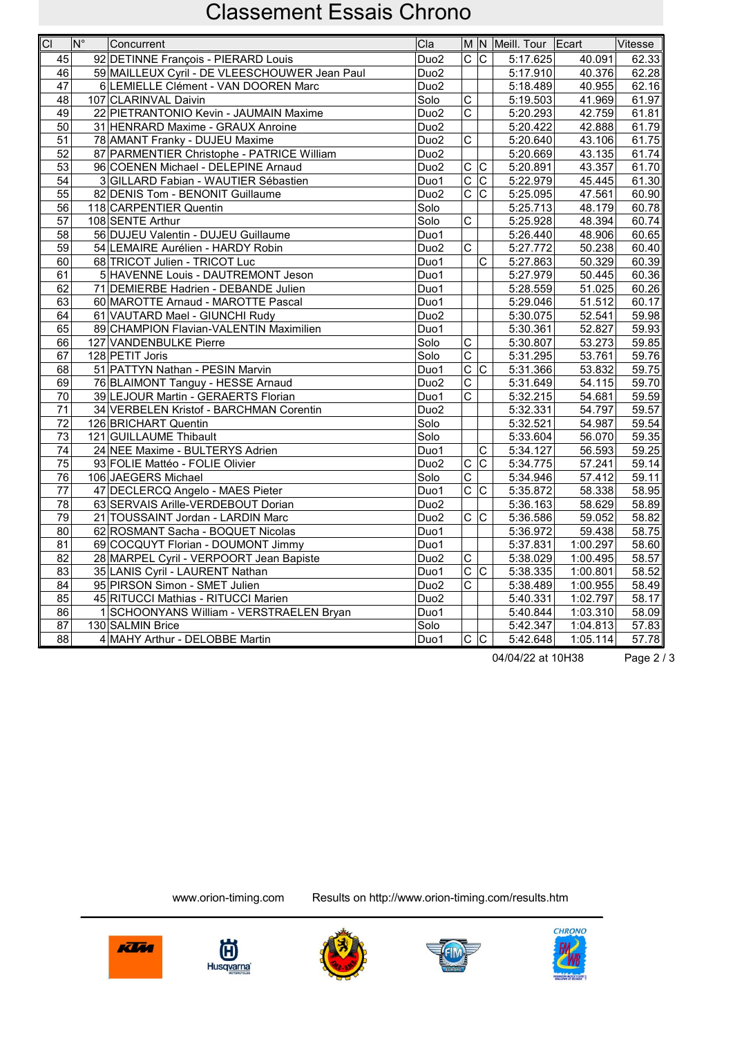| $\overline{CI}$ | $\overline{\mathsf{N}^{\circ}}$ | Concurrent                                    | CIa              |                               |                           | M N Meill. Tour Ecart |          | Vitesse |
|-----------------|---------------------------------|-----------------------------------------------|------------------|-------------------------------|---------------------------|-----------------------|----------|---------|
| 45              |                                 | 92 DETINNE François - PIERARD Louis           | Duo <sub>2</sub> | $\overline{C}$ $\overline{C}$ |                           | 5:17.625              | 40.091   | 62.33   |
| $\overline{46}$ |                                 | 59 MAILLEUX Cyril - DE VLEESCHOUWER Jean Paul | Duo <sub>2</sub> |                               |                           | 5:17.910              | 40.376   | 62.28   |
| 47              |                                 | 6 LEMIELLE Clément - VAN DOOREN Marc          | Duo <sub>2</sub> |                               |                           | 5:18.489              | 40.955   | 62.16   |
| 48              |                                 | 107 CLARINVAL Daivin                          | Solo             | $\overline{\mathsf{C}}$       |                           | 5:19.503              | 41.969   | 61.97   |
| 49              |                                 | 22 PIETRANTONIO Kevin - JAUMAIN Maxime        | Duo <sub>2</sub> | $\overline{\mathrm{c}}$       |                           | 5:20.293              | 42.759   | 61.81   |
| 50              |                                 | 31 HENRARD Maxime - GRAUX Anroine             | Duo <sub>2</sub> |                               |                           | 5:20.422              | 42.888   | 61.79   |
| $\overline{51}$ |                                 | 78 AMANT Franky - DUJEU Maxime                | Duo <sub>2</sub> | $\overline{\text{c}}$         |                           | 5:20.640              | 43.106   | 61.75   |
| 52              |                                 | 87 PARMENTIER Christophe - PATRICE William    | Duo <sub>2</sub> |                               |                           | 5:20.669              | 43.135   | 61.74   |
| 53              |                                 | 96 COENEN Michael - DELEPINE Arnaud           | Duo <sub>2</sub> | $\overline{\mathsf{C}}$       | C                         | 5:20.891              | 43.357   | 61.70   |
| $\overline{54}$ |                                 | 3 GILLARD Fabian - WAUTIER Sébastien          | Duo1             | $\overline{\mathsf{c}}$       | $\overline{\text{c}}$     | 5:22.979              | 45.445   | 61.30   |
| 55              |                                 | 82 DENIS Tom - BENONIT Guillaume              | Duo <sub>2</sub> | $\overline{\text{c}}$         | $ \overline{\mathsf{c}} $ | 5:25.095              | 47.561   | 60.90   |
| 56              |                                 | 118 CARPENTIER Quentin                        | Solo             |                               |                           | 5:25.713              | 48.179   | 60.78   |
| 57              |                                 | 108 SENTE Arthur                              | Solo             | Ċ                             |                           | 5:25.928              | 48.394   | 60.74   |
| 58              |                                 | 56 DUJEU Valentin - DUJEU Guillaume           | Duo1             |                               |                           | 5:26.440              | 48.906   | 60.65   |
| 59              |                                 | 54 LEMAIRE Aurélien - HARDY Robin             | Duo <sub>2</sub> | $\overline{\mathsf{c}}$       |                           | 5:27.772              | 50.238   | 60.40   |
| 60              |                                 | 68 TRICOT Julien - TRICOT Luc                 | Duo1             |                               | $\overline{\text{c}}$     | 5:27.863              | 50.329   | 60.39   |
| 61              |                                 | 5 HAVENNE Louis - DAUTREMONT Jeson            | Duo1             |                               |                           | 5:27.979              | 50.445   | 60.36   |
| 62              |                                 | 71 DEMIERBE Hadrien - DEBANDE Julien          | Duo1             |                               |                           | 5:28.559              | 51.025   | 60.26   |
| 63              |                                 | 60 MAROTTE Arnaud - MAROTTE Pascal            | Duo1             |                               |                           | 5:29.046              | 51.512   | 60.17   |
| 64              |                                 | 61 VAUTARD Mael - GIUNCHI Rudy                | Duo <sub>2</sub> |                               |                           | 5:30.075              | 52.541   | 59.98   |
| 65              |                                 | 89 CHAMPION Flavian-VALENTIN Maximilien       | Duo1             |                               |                           | 5:30.361              | 52.827   | 59.93   |
| 66              |                                 | 127 VANDENBULKE Pierre                        | Solo             | $\overline{C}$                |                           | 5:30.807              | 53.273   | 59.85   |
| 67              |                                 | 128 PETIT Joris                               | Solo             | $\overline{\mathrm{c}}$       |                           | 5:31.295              | 53.761   | 59.76   |
| 68              |                                 | 51 PATTYN Nathan - PESIN Marvin               | Duo1             | $\overline{\mathrm{c}}$       | $\overline{\text{c}}$     | 5:31.366              | 53.832   | 59.75   |
| 69              |                                 | 76 BLAIMONT Tanguy - HESSE Arnaud             | Duo <sub>2</sub> | C                             |                           | 5:31.649              | 54.115   | 59.70   |
| 70              |                                 | 39 LEJOUR Martin - GERAERTS Florian           | Duo1             | $\overline{\text{c}}$         |                           | 5:32.215              | 54.681   | 59.59   |
| 71              |                                 | 34 VERBELEN Kristof - BARCHMAN Corentin       | Duo <sub>2</sub> |                               |                           | 5:32.331              | 54.797   | 59.57   |
| 72              |                                 | 126 BRICHART Quentin                          | Solo             |                               |                           | 5:32.521              | 54.987   | 59.54   |
| 73              |                                 | 121 GUILLAUME Thibault                        | Solo             |                               |                           | 5:33.604              | 56.070   | 59.35   |
| 74              |                                 | 24 NEE Maxime - BULTERYS Adrien               | Duo1             |                               | C                         | $\overline{5:}34.127$ | 56.593   | 59.25   |
| 75              |                                 | 93 FOLIE Mattéo - FOLIE Olivier               | Duo <sub>2</sub> | C                             | $\overline{\mathrm{c}}$   | 5:34.775              | 57.241   | 59.14   |
| 76              |                                 | 106 JAEGERS Michael                           | Solo             | $\overline{C}$                |                           | 5:34.946              | 57.412   | 59.11   |
| 77              |                                 | 47 DECLERCQ Angelo - MAES Pieter              | Duo1             | $\overline{C}$                | $\overline{\mathrm{c}}$   | 5:35.872              | 58.338   | 58.95   |
| 78              |                                 | 63 SERVAIS Arille-VERDEBOUT Dorian            | Duo <sub>2</sub> |                               |                           | 5:36.163              | 58.629   | 58.89   |
| $\overline{79}$ |                                 | 21 TOUSSAINT Jordan - LARDIN Marc             | Duo <sub>2</sub> | $\overline{\mathsf{C}}$       | $ \overline{\text{c}}$    | 5:36.586              | 59.052   | 58.82   |
| 80              |                                 | 62 ROSMANT Sacha - BOQUET Nicolas             | Duo1             |                               |                           | 5:36.972              | 59.438   | 58.75   |
| 81              |                                 | 69 COCQUYT Florian - DOUMONT Jimmy            | Duo1             |                               |                           | 5:37.831              | 1:00.297 | 58.60   |
| 82              |                                 | 28 MARPEL Cyril - VERPOORT Jean Bapiste       | Duo <sub>2</sub> | $\overline{\mathrm{c}}$       |                           | 5:38.029              | 1:00.495 | 58.57   |
| 83              |                                 | 35 LANIS Cyril - LAURENT Nathan               | Duo1             | $\overline{C}$                | C.                        | $\overline{5:}38.335$ | 1:00.801 | 58.52   |
| 84              |                                 | 95 PIRSON Simon - SMET Julien                 | Duo <sub>2</sub> | Ċ                             |                           | 5:38.489              | 1:00.955 | 58.49   |
| 85              |                                 | 45 RITUCCI Mathias - RITUCCI Marien           | Duo <sub>2</sub> |                               |                           | 5:40.331              | 1:02.797 | 58.17   |
| 86              |                                 | 1 SCHOONYANS William - VERSTRAELEN Bryan      | Duo1             |                               |                           | 5:40.844              | 1:03.310 | 58.09   |
| 87              |                                 | 130 SALMIN Brice                              | Solo             |                               |                           | 5:42.347              | 1:04.813 | 57.83   |
| 88              |                                 | 4 MAHY Arthur - DELOBBE Martin                | Duo1             | $\overline{C}$ $\overline{C}$ |                           | 5:42.648              | 1:05.114 | 57.78   |

04/04/22 at 10H38 Page 2 / 3









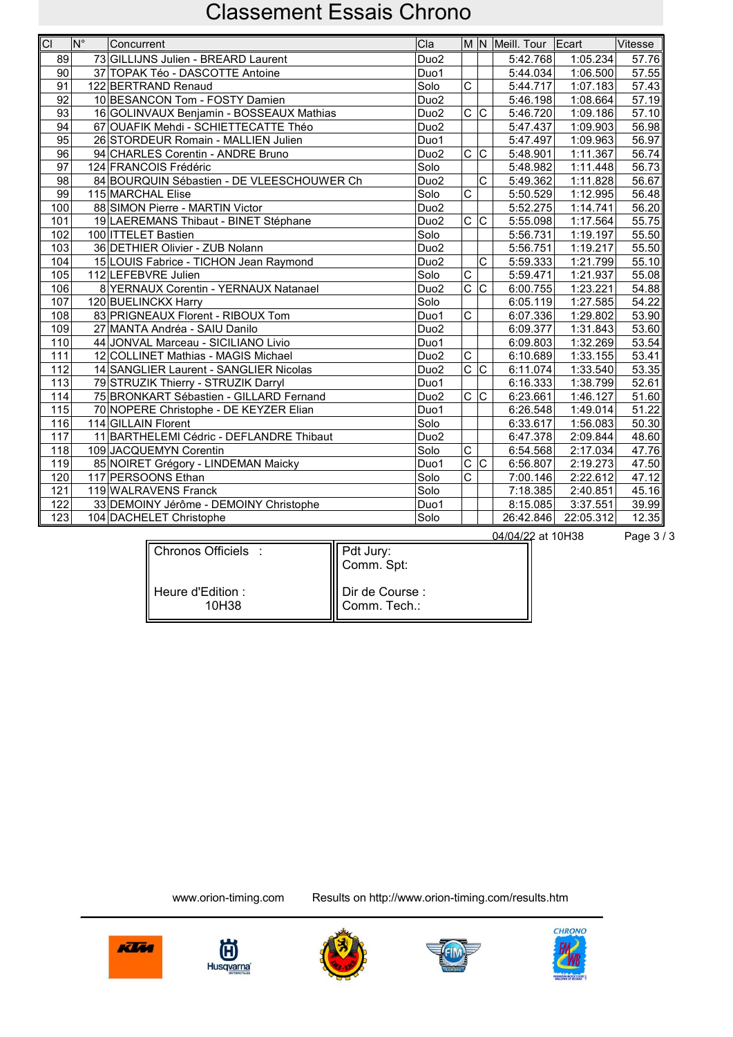| CI               | lN° | Concurrent                                 | Cla              |                         |                         | M N Meill. Tour Ecart |           | Vitesse |
|------------------|-----|--------------------------------------------|------------------|-------------------------|-------------------------|-----------------------|-----------|---------|
| 89               |     | 73 GILLIJNS Julien - BREARD Laurent        | Duo <sub>2</sub> |                         |                         | 5:42.768              | 1:05.234  | 57.76   |
| 90               |     | 37 TOPAK Téo - DASCOTTE Antoine            | Duo1             |                         |                         | 5:44.034              | 1:06.500  | 57.55   |
| 91               |     | 122 BERTRAND Renaud                        | Solo             | $\mathsf{C}$            |                         | 5:44.717              | 1:07.183  | 57.43   |
| 92               |     | 10 BESANCON Tom - FOSTY Damien             | Duo <sub>2</sub> |                         |                         | 5:46.198              | 1:08.664  | 57.19   |
| 93               |     | 16 GOLINVAUX Benjamin - BOSSEAUX Mathias   | Duo <sub>2</sub> | $\overline{C}$          | c                       | 5:46.720              | 1:09.186  | 57.10   |
| 94               |     | 67 OUAFIK Mehdi - SCHIETTECATTE Théo       | Duo <sub>2</sub> |                         |                         | 5:47.437              | 1:09.903  | 56.98   |
| 95               |     | 26 STORDEUR Romain - MALLIEN Julien        | Duo1             |                         |                         | 5:47.497              | 1:09.963  | 56.97   |
| 96               |     | 94 CHARLES Corentin - ANDRE Bruno          | Duo <sub>2</sub> | $\mathsf{C}$            | lc.                     | 5:48.901              | 1:11.367  | 56.74   |
| 97               |     | 124 FRANCOIS Frédéric                      | Solo             |                         |                         | 5:48.982              | 1:11.448  | 56.73   |
| 98               |     | 84 BOURQUIN Sébastien - DE VLEESCHOUWER Ch | Duo <sub>2</sub> |                         | C                       | 5:49.362              | 1:11.828  | 56.67   |
| 99               |     | 115 MARCHAL Elise                          | Solo             | $\overline{\text{c}}$   |                         | 5:50.529              | 1:12.995  | 56.48   |
| 100              |     | 88 SIMON Pierre - MARTIN Victor            | Duo <sub>2</sub> |                         |                         | 5:52.275              | 1:14.741  | 56.20   |
| 101              |     | 19 LAEREMANS Thibaut - BINET Stéphane      | Duo <sub>2</sub> |                         | $\overline{C}$ $ C $    | 5:55.098              | 1:17.564  | 55.75   |
| 102              |     | 100   ITTELET Bastien                      | Solo             |                         |                         | 5:56.731              | 1:19.197  | 55.50   |
| 103              |     | 36 DETHIER Olivier - ZUB Nolann            | Duo <sub>2</sub> |                         |                         | 5:56.751              | 1:19.217  | 55.50   |
| 104              |     | 15 LOUIS Fabrice - TICHON Jean Raymond     | Duo <sub>2</sub> |                         | $\overline{\text{c}}$   | 5:59.333              | 1:21.799  | 55.10   |
| 105              |     | 112 LEFEBVRE Julien                        | Solo             | $\overline{\text{c}}$   |                         | 5:59.471              | 1:21.937  | 55.08   |
| 106              |     | 8 YERNAUX Corentin - YERNAUX Natanael      | Duo <sub>2</sub> | $\overline{C}$          | $\overline{C}$          | 6:00.755              | 1:23.221  | 54.88   |
| 107              |     | 120 BUELINCKX Harry                        | Solo             |                         |                         | 6:05.119              | 1:27.585  | 54.22   |
| 108              |     | 83 PRIGNEAUX Florent - RIBOUX Tom          | Duo1             | $\overline{\text{c}}$   |                         | 6:07.336              | 1:29.802  | 53.90   |
| 109              |     | 27 MANTA Andréa - SAIU Danilo              | Duo <sub>2</sub> |                         |                         | 6:09.377              | 1:31.843  | 53.60   |
| 110              |     | 44 JONVAL Marceau - SICILIANO Livio        | Duo1             |                         |                         | 6:09.803              | 1:32.269  | 53.54   |
| 111              |     | 12 COLLINET Mathias - MAGIS Michael        | Duo <sub>2</sub> | $\overline{\mathrm{c}}$ |                         | 6:10.689              | 1:33.155  | 53.41   |
| 112              |     | 14 SANGLIER Laurent - SANGLIER Nicolas     | Duo <sub>2</sub> | $\overline{\mathrm{c}}$ | $\overline{\mathsf{C}}$ | 6:11.074              | 1:33.540  | 53.35   |
| $\overline{113}$ |     | 79 STRUZIK Thierry - STRUZIK Darryl        | Duo1             |                         |                         | 6:16.333              | 1:38.799  | 52.61   |
| 114              |     | 75 BRONKART Sébastien - GILLARD Fernand    | Duo <sub>2</sub> | $\mathsf{C}$            | $\mathsf C$             | 6:23.661              | 1:46.127  | 51.60   |
| 115              |     | 70 NOPERE Christophe - DE KEYZER Elian     | Duo1             |                         |                         | 6:26.548              | 1:49.014  | 51.22   |
| 116              |     | 114 GILLAIN Florent                        | Solo             |                         |                         | 6:33.617              | 1:56.083  | 50.30   |
| 117              |     | 11 BARTHELEMI Cédric - DEFLANDRE Thibaut   | Duo <sub>2</sub> |                         |                         | 6:47.378              | 2:09.844  | 48.60   |
| 118              |     | 109 JACQUEMYN Corentin                     | Solo             | $\overline{\text{c}}$   |                         | 6:54.568              | 2:17.034  | 47.76   |
| 119              |     | 85 NOIRET Grégory - LINDEMAN Maicky        | Duo1             | $\overline{\mathrm{c}}$ | C                       | 6:56.807              | 2:19.273  | 47.50   |
| 120              |     | 117 PERSOONS Ethan                         | Solo             | $\overline{\mathrm{c}}$ |                         | 7:00.146              | 2:22.612  | 47.12   |
| 121              |     | 119 WALRAVENS Franck                       | Solo             |                         |                         | 7:18.385              | 2:40.851  | 45.16   |
| 122              |     | 33 DEMOINY Jérôme - DEMOINY Christophe     | Duo1             |                         |                         | 8:15.085              | 3:37.551  | 39.99   |
| 123              |     | 104 DACHELET Christophe                    | Solo             |                         |                         | 26:42.846             | 22:05.312 | 12.35   |

|                              |                                      | 04/04/22 at 10H38 | Page $3/3$ |
|------------------------------|--------------------------------------|-------------------|------------|
| Chronos Officiels :          | Pdt Jury:<br>∥ Comm. Spt:            |                   |            |
| l Heure d'Edition :<br>10H38 | ∥ Dir de Course :<br>   Comm. Tech.: |                   |            |









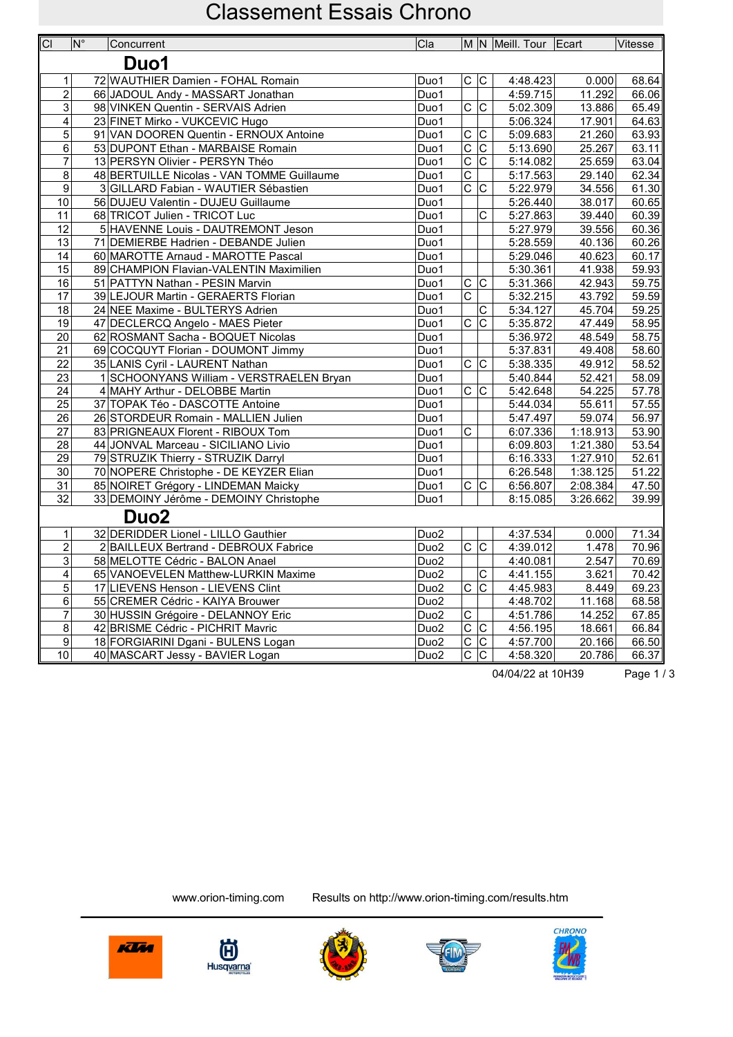| M N Meill. Tour Ecart<br>Duo1<br>72 WAUTHIER Damien - FOHAL Romain<br>Duo1<br>C C<br>4:48.423<br>0.000<br>$\mathbf{1}$<br>$\overline{2}$<br>66 JADOUL Andy - MASSART Jonathan<br>Duo1<br>4:59.715<br>11.292<br>$\ensuremath{\mathsf{3}}$<br>98 VINKEN Quentin - SERVAIS Adrien<br>$\overline{D}$ uo1<br>$\circ$  <br>lc<br>5:02.309<br>13.886<br>$\overline{\mathbf{4}}$<br>23 FINET Mirko - VUKCEVIC Hugo<br>17.901<br>Duo1<br>5:06.324<br>5<br>C<br>$\mathsf C$<br>91 VAN DOOREN Quentin - ERNOUX Antoine<br>5:09.683<br>21.260<br>Duo1<br>$\overline{\mathrm{c}}$<br>$\overline{C}$<br>53 DUPONT Ethan - MARBAISE Romain<br>Duo1<br>5:13.690<br>25.267<br>6<br>$\overline{\mathrm{c}}$<br>$\overline{7}$<br>$\overline{\mathrm{c}}$<br>13 PERSYN Olivier - PERSYN Théo<br>5:14.082<br>25.659<br>Duo1<br>$\overline{\text{c}}$<br>8<br>48 BERTUILLE Nicolas - VAN TOMME Guillaume<br>Duo1<br>5:17.563<br>29.140<br>$\overline{\text{c}}$<br>$\overline{C}$<br>9<br>3 GILLARD Fabian - WAUTIER Sébastien<br>5:22.979<br>34.556<br>Duo1<br>10<br>56 DUJEU Valentin - DUJEU Guillaume<br>Duo1<br>5:26.440<br>38.017<br>$\overline{\mathrm{c}}$<br>68 TRICOT Julien - TRICOT Luc<br>Duo1<br>5:27.863<br>39.440<br>11<br>$\overline{12}$<br>5 HAVENNE Louis - DAUTREMONT Jeson<br>Duo1<br>5:27.979<br>39.556<br>13<br>71 DEMIERBE Hadrien - DEBANDE Julien<br>5:28.559<br>40.136<br>Duo1<br>$\overline{14}$<br>60 MAROTTE Arnaud - MAROTTE Pascal<br>Duo1<br>5:29.046<br>40.623<br>15<br>89 CHAMPION Flavian-VALENTIN Maximilien<br>Duo1<br>5:30.361<br>41.938<br>$\overline{c c}$<br>16<br>51 PATTYN Nathan - PESIN Marvin<br>Duo1<br>5:31.366<br>42.943<br>$\overline{\text{c}}$<br>$\overline{17}$<br>39 LEJOUR Martin - GERAERTS Florian<br>Duo1<br>5:32.215<br>43.792<br>18<br>24 NEE Maxime - BULTERYS Adrien<br>$\mathsf C$<br>5:34.127<br>45.704<br>Duo1<br>$\overline{C}$ $\overline{C}$<br>$\overline{19}$<br>5:35.872<br>47.449<br>47 DECLERCQ Angelo - MAES Pieter<br>Duo1<br>20<br>48.549<br>62 ROSMANT Sacha - BOQUET Nicolas<br>Duo1<br>5:36.972<br>$\overline{21}$<br>49.408<br>69 COCQUYT Florian - DOUMONT Jimmy<br>Duo1<br>5:37.831<br>$\overline{22}$<br>$\overline{C}$ $\overline{C}$<br>49.912<br>35 LANIS Cyril - LAURENT Nathan<br>Duo1<br>5:38.335<br>23<br>1 SCHOONYANS William - VERSTRAELEN Bryan<br>52.421<br>Duo1<br>5:40.844<br>$\overline{c c}$<br>24<br>4 MAHY Arthur - DELOBBE Martin<br>5:42.648<br>54.225<br>Duo1<br>$\overline{25}$<br>37 TOPAK Téo - DASCOTTE Antoine<br>Duo1<br>5:44.034<br>55.611<br>$\overline{26}$<br>5:47.497<br>59.074<br>26 STORDEUR Romain - MALLIEN Julien<br>Duo1<br>$\overline{\text{c}}$<br>27<br>83 PRIGNEAUX Florent - RIBOUX Tom<br>Duo1<br>6:07.336<br>1:18.913<br>28<br>44 JONVAL Marceau - SICILIANO Livio<br>Duo1<br>6:09.803<br>1:21.380<br>29<br>79 STRUZIK Thierry - STRUZIK Darryl<br>6:16.333<br>1:27.910<br>Duo1<br>70 NOPERE Christophe - DE KEYZER Elian<br>6:26.548<br>1:38.125<br>30<br>Duo1<br>$\overline{C}$ $\overline{C}$<br>$\overline{31}$<br>85 NOIRET Grégory - LINDEMAN Maicky<br>6:56.807<br>2:08.384<br>Duo1<br>$\overline{32}$<br>33 DEMOINY Jérôme - DEMOINY Christophe<br>Duo1<br>8:15.085<br>3:26.662<br>Duo <sub>2</sub><br>32 DERIDDER Lionel - LILLO Gauthier<br>$\overline{D}$ uo2<br>4:37.534<br>$\mathbf{1}$<br>0.000<br>$\overline{2}$<br>$\overline{c c}$<br>2 BAILLEUX Bertrand - DEBROUX Fabrice<br>Duo <sub>2</sub><br>4:39.012<br>1.478<br>58 MELOTTE Cédric - BALON Anael<br>4:40.081<br>2.547<br>3<br>Duo <sub>2</sub><br>$\overline{4}$<br>65 VANOEVELEN Matthew-LURKIN Maxime<br>Duo <sub>2</sub><br>C<br>4:41.155<br>3.621<br>$\overline{5}$<br>$\overline{c}\,\overline{ c }$<br>4:45.983<br>17 LIEVENS Henson - LIEVENS Clint<br>Duo <sub>2</sub><br>8.449<br>6<br>55 CREMER Cédric - KAIYA Brouwer<br>Duo <sub>2</sub><br>4:48.702<br>11.168 | $\overline{C}$ | $ N^{\circ} $ | Concurrent                         | ∣Cla             |                       |          |        | Vitesse            |
|-----------------------------------------------------------------------------------------------------------------------------------------------------------------------------------------------------------------------------------------------------------------------------------------------------------------------------------------------------------------------------------------------------------------------------------------------------------------------------------------------------------------------------------------------------------------------------------------------------------------------------------------------------------------------------------------------------------------------------------------------------------------------------------------------------------------------------------------------------------------------------------------------------------------------------------------------------------------------------------------------------------------------------------------------------------------------------------------------------------------------------------------------------------------------------------------------------------------------------------------------------------------------------------------------------------------------------------------------------------------------------------------------------------------------------------------------------------------------------------------------------------------------------------------------------------------------------------------------------------------------------------------------------------------------------------------------------------------------------------------------------------------------------------------------------------------------------------------------------------------------------------------------------------------------------------------------------------------------------------------------------------------------------------------------------------------------------------------------------------------------------------------------------------------------------------------------------------------------------------------------------------------------------------------------------------------------------------------------------------------------------------------------------------------------------------------------------------------------------------------------------------------------------------------------------------------------------------------------------------------------------------------------------------------------------------------------------------------------------------------------------------------------------------------------------------------------------------------------------------------------------------------------------------------------------------------------------------------------------------------------------------------------------------------------------------------------------------------------------------------------------------------------------------------------------------------------------------------------------------------------------------------------------------------------------------------------------------------------------------------------------------------------------------------------------------------------------------------------------------------------------------------------------------------------------------------------------------------------------------------------------------------------------------------------------------------------------------------------------------------------------------------------------------------------------------------------------------------------------------------|----------------|---------------|------------------------------------|------------------|-----------------------|----------|--------|--------------------|
|                                                                                                                                                                                                                                                                                                                                                                                                                                                                                                                                                                                                                                                                                                                                                                                                                                                                                                                                                                                                                                                                                                                                                                                                                                                                                                                                                                                                                                                                                                                                                                                                                                                                                                                                                                                                                                                                                                                                                                                                                                                                                                                                                                                                                                                                                                                                                                                                                                                                                                                                                                                                                                                                                                                                                                                                                                                                                                                                                                                                                                                                                                                                                                                                                                                                                                                                                                                                                                                                                                                                                                                                                                                                                                                                                                                                                                                                 |                |               |                                    |                  |                       |          |        |                    |
|                                                                                                                                                                                                                                                                                                                                                                                                                                                                                                                                                                                                                                                                                                                                                                                                                                                                                                                                                                                                                                                                                                                                                                                                                                                                                                                                                                                                                                                                                                                                                                                                                                                                                                                                                                                                                                                                                                                                                                                                                                                                                                                                                                                                                                                                                                                                                                                                                                                                                                                                                                                                                                                                                                                                                                                                                                                                                                                                                                                                                                                                                                                                                                                                                                                                                                                                                                                                                                                                                                                                                                                                                                                                                                                                                                                                                                                                 |                |               |                                    |                  |                       |          |        |                    |
|                                                                                                                                                                                                                                                                                                                                                                                                                                                                                                                                                                                                                                                                                                                                                                                                                                                                                                                                                                                                                                                                                                                                                                                                                                                                                                                                                                                                                                                                                                                                                                                                                                                                                                                                                                                                                                                                                                                                                                                                                                                                                                                                                                                                                                                                                                                                                                                                                                                                                                                                                                                                                                                                                                                                                                                                                                                                                                                                                                                                                                                                                                                                                                                                                                                                                                                                                                                                                                                                                                                                                                                                                                                                                                                                                                                                                                                                 |                |               |                                    |                  |                       |          |        | 68.64              |
|                                                                                                                                                                                                                                                                                                                                                                                                                                                                                                                                                                                                                                                                                                                                                                                                                                                                                                                                                                                                                                                                                                                                                                                                                                                                                                                                                                                                                                                                                                                                                                                                                                                                                                                                                                                                                                                                                                                                                                                                                                                                                                                                                                                                                                                                                                                                                                                                                                                                                                                                                                                                                                                                                                                                                                                                                                                                                                                                                                                                                                                                                                                                                                                                                                                                                                                                                                                                                                                                                                                                                                                                                                                                                                                                                                                                                                                                 |                |               |                                    |                  |                       |          |        | 66.06              |
|                                                                                                                                                                                                                                                                                                                                                                                                                                                                                                                                                                                                                                                                                                                                                                                                                                                                                                                                                                                                                                                                                                                                                                                                                                                                                                                                                                                                                                                                                                                                                                                                                                                                                                                                                                                                                                                                                                                                                                                                                                                                                                                                                                                                                                                                                                                                                                                                                                                                                                                                                                                                                                                                                                                                                                                                                                                                                                                                                                                                                                                                                                                                                                                                                                                                                                                                                                                                                                                                                                                                                                                                                                                                                                                                                                                                                                                                 |                |               |                                    |                  |                       |          |        | 65.49              |
|                                                                                                                                                                                                                                                                                                                                                                                                                                                                                                                                                                                                                                                                                                                                                                                                                                                                                                                                                                                                                                                                                                                                                                                                                                                                                                                                                                                                                                                                                                                                                                                                                                                                                                                                                                                                                                                                                                                                                                                                                                                                                                                                                                                                                                                                                                                                                                                                                                                                                                                                                                                                                                                                                                                                                                                                                                                                                                                                                                                                                                                                                                                                                                                                                                                                                                                                                                                                                                                                                                                                                                                                                                                                                                                                                                                                                                                                 |                |               |                                    |                  |                       |          |        | 64.63              |
|                                                                                                                                                                                                                                                                                                                                                                                                                                                                                                                                                                                                                                                                                                                                                                                                                                                                                                                                                                                                                                                                                                                                                                                                                                                                                                                                                                                                                                                                                                                                                                                                                                                                                                                                                                                                                                                                                                                                                                                                                                                                                                                                                                                                                                                                                                                                                                                                                                                                                                                                                                                                                                                                                                                                                                                                                                                                                                                                                                                                                                                                                                                                                                                                                                                                                                                                                                                                                                                                                                                                                                                                                                                                                                                                                                                                                                                                 |                |               |                                    |                  |                       |          |        | 63.93              |
|                                                                                                                                                                                                                                                                                                                                                                                                                                                                                                                                                                                                                                                                                                                                                                                                                                                                                                                                                                                                                                                                                                                                                                                                                                                                                                                                                                                                                                                                                                                                                                                                                                                                                                                                                                                                                                                                                                                                                                                                                                                                                                                                                                                                                                                                                                                                                                                                                                                                                                                                                                                                                                                                                                                                                                                                                                                                                                                                                                                                                                                                                                                                                                                                                                                                                                                                                                                                                                                                                                                                                                                                                                                                                                                                                                                                                                                                 |                |               |                                    |                  |                       |          |        | 63.11              |
|                                                                                                                                                                                                                                                                                                                                                                                                                                                                                                                                                                                                                                                                                                                                                                                                                                                                                                                                                                                                                                                                                                                                                                                                                                                                                                                                                                                                                                                                                                                                                                                                                                                                                                                                                                                                                                                                                                                                                                                                                                                                                                                                                                                                                                                                                                                                                                                                                                                                                                                                                                                                                                                                                                                                                                                                                                                                                                                                                                                                                                                                                                                                                                                                                                                                                                                                                                                                                                                                                                                                                                                                                                                                                                                                                                                                                                                                 |                |               |                                    |                  |                       |          |        | 63.04              |
|                                                                                                                                                                                                                                                                                                                                                                                                                                                                                                                                                                                                                                                                                                                                                                                                                                                                                                                                                                                                                                                                                                                                                                                                                                                                                                                                                                                                                                                                                                                                                                                                                                                                                                                                                                                                                                                                                                                                                                                                                                                                                                                                                                                                                                                                                                                                                                                                                                                                                                                                                                                                                                                                                                                                                                                                                                                                                                                                                                                                                                                                                                                                                                                                                                                                                                                                                                                                                                                                                                                                                                                                                                                                                                                                                                                                                                                                 |                |               |                                    |                  |                       |          |        | 62.34              |
|                                                                                                                                                                                                                                                                                                                                                                                                                                                                                                                                                                                                                                                                                                                                                                                                                                                                                                                                                                                                                                                                                                                                                                                                                                                                                                                                                                                                                                                                                                                                                                                                                                                                                                                                                                                                                                                                                                                                                                                                                                                                                                                                                                                                                                                                                                                                                                                                                                                                                                                                                                                                                                                                                                                                                                                                                                                                                                                                                                                                                                                                                                                                                                                                                                                                                                                                                                                                                                                                                                                                                                                                                                                                                                                                                                                                                                                                 |                |               |                                    |                  |                       |          |        | 61.30              |
|                                                                                                                                                                                                                                                                                                                                                                                                                                                                                                                                                                                                                                                                                                                                                                                                                                                                                                                                                                                                                                                                                                                                                                                                                                                                                                                                                                                                                                                                                                                                                                                                                                                                                                                                                                                                                                                                                                                                                                                                                                                                                                                                                                                                                                                                                                                                                                                                                                                                                                                                                                                                                                                                                                                                                                                                                                                                                                                                                                                                                                                                                                                                                                                                                                                                                                                                                                                                                                                                                                                                                                                                                                                                                                                                                                                                                                                                 |                |               |                                    |                  |                       |          |        | 60.65              |
|                                                                                                                                                                                                                                                                                                                                                                                                                                                                                                                                                                                                                                                                                                                                                                                                                                                                                                                                                                                                                                                                                                                                                                                                                                                                                                                                                                                                                                                                                                                                                                                                                                                                                                                                                                                                                                                                                                                                                                                                                                                                                                                                                                                                                                                                                                                                                                                                                                                                                                                                                                                                                                                                                                                                                                                                                                                                                                                                                                                                                                                                                                                                                                                                                                                                                                                                                                                                                                                                                                                                                                                                                                                                                                                                                                                                                                                                 |                |               |                                    |                  |                       |          |        | 60.39              |
|                                                                                                                                                                                                                                                                                                                                                                                                                                                                                                                                                                                                                                                                                                                                                                                                                                                                                                                                                                                                                                                                                                                                                                                                                                                                                                                                                                                                                                                                                                                                                                                                                                                                                                                                                                                                                                                                                                                                                                                                                                                                                                                                                                                                                                                                                                                                                                                                                                                                                                                                                                                                                                                                                                                                                                                                                                                                                                                                                                                                                                                                                                                                                                                                                                                                                                                                                                                                                                                                                                                                                                                                                                                                                                                                                                                                                                                                 |                |               |                                    |                  |                       |          |        | 60.36              |
|                                                                                                                                                                                                                                                                                                                                                                                                                                                                                                                                                                                                                                                                                                                                                                                                                                                                                                                                                                                                                                                                                                                                                                                                                                                                                                                                                                                                                                                                                                                                                                                                                                                                                                                                                                                                                                                                                                                                                                                                                                                                                                                                                                                                                                                                                                                                                                                                                                                                                                                                                                                                                                                                                                                                                                                                                                                                                                                                                                                                                                                                                                                                                                                                                                                                                                                                                                                                                                                                                                                                                                                                                                                                                                                                                                                                                                                                 |                |               |                                    |                  |                       |          |        | 60.26              |
|                                                                                                                                                                                                                                                                                                                                                                                                                                                                                                                                                                                                                                                                                                                                                                                                                                                                                                                                                                                                                                                                                                                                                                                                                                                                                                                                                                                                                                                                                                                                                                                                                                                                                                                                                                                                                                                                                                                                                                                                                                                                                                                                                                                                                                                                                                                                                                                                                                                                                                                                                                                                                                                                                                                                                                                                                                                                                                                                                                                                                                                                                                                                                                                                                                                                                                                                                                                                                                                                                                                                                                                                                                                                                                                                                                                                                                                                 |                |               |                                    |                  |                       |          |        | 60.17              |
|                                                                                                                                                                                                                                                                                                                                                                                                                                                                                                                                                                                                                                                                                                                                                                                                                                                                                                                                                                                                                                                                                                                                                                                                                                                                                                                                                                                                                                                                                                                                                                                                                                                                                                                                                                                                                                                                                                                                                                                                                                                                                                                                                                                                                                                                                                                                                                                                                                                                                                                                                                                                                                                                                                                                                                                                                                                                                                                                                                                                                                                                                                                                                                                                                                                                                                                                                                                                                                                                                                                                                                                                                                                                                                                                                                                                                                                                 |                |               |                                    |                  |                       |          |        | 59.93              |
|                                                                                                                                                                                                                                                                                                                                                                                                                                                                                                                                                                                                                                                                                                                                                                                                                                                                                                                                                                                                                                                                                                                                                                                                                                                                                                                                                                                                                                                                                                                                                                                                                                                                                                                                                                                                                                                                                                                                                                                                                                                                                                                                                                                                                                                                                                                                                                                                                                                                                                                                                                                                                                                                                                                                                                                                                                                                                                                                                                                                                                                                                                                                                                                                                                                                                                                                                                                                                                                                                                                                                                                                                                                                                                                                                                                                                                                                 |                |               |                                    |                  |                       |          |        | 59.75              |
|                                                                                                                                                                                                                                                                                                                                                                                                                                                                                                                                                                                                                                                                                                                                                                                                                                                                                                                                                                                                                                                                                                                                                                                                                                                                                                                                                                                                                                                                                                                                                                                                                                                                                                                                                                                                                                                                                                                                                                                                                                                                                                                                                                                                                                                                                                                                                                                                                                                                                                                                                                                                                                                                                                                                                                                                                                                                                                                                                                                                                                                                                                                                                                                                                                                                                                                                                                                                                                                                                                                                                                                                                                                                                                                                                                                                                                                                 |                |               |                                    |                  |                       |          |        | 59.59              |
|                                                                                                                                                                                                                                                                                                                                                                                                                                                                                                                                                                                                                                                                                                                                                                                                                                                                                                                                                                                                                                                                                                                                                                                                                                                                                                                                                                                                                                                                                                                                                                                                                                                                                                                                                                                                                                                                                                                                                                                                                                                                                                                                                                                                                                                                                                                                                                                                                                                                                                                                                                                                                                                                                                                                                                                                                                                                                                                                                                                                                                                                                                                                                                                                                                                                                                                                                                                                                                                                                                                                                                                                                                                                                                                                                                                                                                                                 |                |               |                                    |                  |                       |          |        | $\overline{59.25}$ |
|                                                                                                                                                                                                                                                                                                                                                                                                                                                                                                                                                                                                                                                                                                                                                                                                                                                                                                                                                                                                                                                                                                                                                                                                                                                                                                                                                                                                                                                                                                                                                                                                                                                                                                                                                                                                                                                                                                                                                                                                                                                                                                                                                                                                                                                                                                                                                                                                                                                                                                                                                                                                                                                                                                                                                                                                                                                                                                                                                                                                                                                                                                                                                                                                                                                                                                                                                                                                                                                                                                                                                                                                                                                                                                                                                                                                                                                                 |                |               |                                    |                  |                       |          |        | 58.95              |
|                                                                                                                                                                                                                                                                                                                                                                                                                                                                                                                                                                                                                                                                                                                                                                                                                                                                                                                                                                                                                                                                                                                                                                                                                                                                                                                                                                                                                                                                                                                                                                                                                                                                                                                                                                                                                                                                                                                                                                                                                                                                                                                                                                                                                                                                                                                                                                                                                                                                                                                                                                                                                                                                                                                                                                                                                                                                                                                                                                                                                                                                                                                                                                                                                                                                                                                                                                                                                                                                                                                                                                                                                                                                                                                                                                                                                                                                 |                |               |                                    |                  |                       |          |        | 58.75              |
|                                                                                                                                                                                                                                                                                                                                                                                                                                                                                                                                                                                                                                                                                                                                                                                                                                                                                                                                                                                                                                                                                                                                                                                                                                                                                                                                                                                                                                                                                                                                                                                                                                                                                                                                                                                                                                                                                                                                                                                                                                                                                                                                                                                                                                                                                                                                                                                                                                                                                                                                                                                                                                                                                                                                                                                                                                                                                                                                                                                                                                                                                                                                                                                                                                                                                                                                                                                                                                                                                                                                                                                                                                                                                                                                                                                                                                                                 |                |               |                                    |                  |                       |          |        | 58.60              |
|                                                                                                                                                                                                                                                                                                                                                                                                                                                                                                                                                                                                                                                                                                                                                                                                                                                                                                                                                                                                                                                                                                                                                                                                                                                                                                                                                                                                                                                                                                                                                                                                                                                                                                                                                                                                                                                                                                                                                                                                                                                                                                                                                                                                                                                                                                                                                                                                                                                                                                                                                                                                                                                                                                                                                                                                                                                                                                                                                                                                                                                                                                                                                                                                                                                                                                                                                                                                                                                                                                                                                                                                                                                                                                                                                                                                                                                                 |                |               |                                    |                  |                       |          |        | 58.52              |
|                                                                                                                                                                                                                                                                                                                                                                                                                                                                                                                                                                                                                                                                                                                                                                                                                                                                                                                                                                                                                                                                                                                                                                                                                                                                                                                                                                                                                                                                                                                                                                                                                                                                                                                                                                                                                                                                                                                                                                                                                                                                                                                                                                                                                                                                                                                                                                                                                                                                                                                                                                                                                                                                                                                                                                                                                                                                                                                                                                                                                                                                                                                                                                                                                                                                                                                                                                                                                                                                                                                                                                                                                                                                                                                                                                                                                                                                 |                |               |                                    |                  |                       |          |        | 58.09              |
|                                                                                                                                                                                                                                                                                                                                                                                                                                                                                                                                                                                                                                                                                                                                                                                                                                                                                                                                                                                                                                                                                                                                                                                                                                                                                                                                                                                                                                                                                                                                                                                                                                                                                                                                                                                                                                                                                                                                                                                                                                                                                                                                                                                                                                                                                                                                                                                                                                                                                                                                                                                                                                                                                                                                                                                                                                                                                                                                                                                                                                                                                                                                                                                                                                                                                                                                                                                                                                                                                                                                                                                                                                                                                                                                                                                                                                                                 |                |               |                                    |                  |                       |          |        | 57.78              |
|                                                                                                                                                                                                                                                                                                                                                                                                                                                                                                                                                                                                                                                                                                                                                                                                                                                                                                                                                                                                                                                                                                                                                                                                                                                                                                                                                                                                                                                                                                                                                                                                                                                                                                                                                                                                                                                                                                                                                                                                                                                                                                                                                                                                                                                                                                                                                                                                                                                                                                                                                                                                                                                                                                                                                                                                                                                                                                                                                                                                                                                                                                                                                                                                                                                                                                                                                                                                                                                                                                                                                                                                                                                                                                                                                                                                                                                                 |                |               |                                    |                  |                       |          |        | 57.55              |
|                                                                                                                                                                                                                                                                                                                                                                                                                                                                                                                                                                                                                                                                                                                                                                                                                                                                                                                                                                                                                                                                                                                                                                                                                                                                                                                                                                                                                                                                                                                                                                                                                                                                                                                                                                                                                                                                                                                                                                                                                                                                                                                                                                                                                                                                                                                                                                                                                                                                                                                                                                                                                                                                                                                                                                                                                                                                                                                                                                                                                                                                                                                                                                                                                                                                                                                                                                                                                                                                                                                                                                                                                                                                                                                                                                                                                                                                 |                |               |                                    |                  |                       |          |        | 56.97              |
|                                                                                                                                                                                                                                                                                                                                                                                                                                                                                                                                                                                                                                                                                                                                                                                                                                                                                                                                                                                                                                                                                                                                                                                                                                                                                                                                                                                                                                                                                                                                                                                                                                                                                                                                                                                                                                                                                                                                                                                                                                                                                                                                                                                                                                                                                                                                                                                                                                                                                                                                                                                                                                                                                                                                                                                                                                                                                                                                                                                                                                                                                                                                                                                                                                                                                                                                                                                                                                                                                                                                                                                                                                                                                                                                                                                                                                                                 |                |               |                                    |                  |                       |          |        | 53.90              |
|                                                                                                                                                                                                                                                                                                                                                                                                                                                                                                                                                                                                                                                                                                                                                                                                                                                                                                                                                                                                                                                                                                                                                                                                                                                                                                                                                                                                                                                                                                                                                                                                                                                                                                                                                                                                                                                                                                                                                                                                                                                                                                                                                                                                                                                                                                                                                                                                                                                                                                                                                                                                                                                                                                                                                                                                                                                                                                                                                                                                                                                                                                                                                                                                                                                                                                                                                                                                                                                                                                                                                                                                                                                                                                                                                                                                                                                                 |                |               |                                    |                  |                       |          |        | 53.54              |
|                                                                                                                                                                                                                                                                                                                                                                                                                                                                                                                                                                                                                                                                                                                                                                                                                                                                                                                                                                                                                                                                                                                                                                                                                                                                                                                                                                                                                                                                                                                                                                                                                                                                                                                                                                                                                                                                                                                                                                                                                                                                                                                                                                                                                                                                                                                                                                                                                                                                                                                                                                                                                                                                                                                                                                                                                                                                                                                                                                                                                                                                                                                                                                                                                                                                                                                                                                                                                                                                                                                                                                                                                                                                                                                                                                                                                                                                 |                |               |                                    |                  |                       |          |        | 52.61              |
|                                                                                                                                                                                                                                                                                                                                                                                                                                                                                                                                                                                                                                                                                                                                                                                                                                                                                                                                                                                                                                                                                                                                                                                                                                                                                                                                                                                                                                                                                                                                                                                                                                                                                                                                                                                                                                                                                                                                                                                                                                                                                                                                                                                                                                                                                                                                                                                                                                                                                                                                                                                                                                                                                                                                                                                                                                                                                                                                                                                                                                                                                                                                                                                                                                                                                                                                                                                                                                                                                                                                                                                                                                                                                                                                                                                                                                                                 |                |               |                                    |                  |                       |          |        | 51.22              |
|                                                                                                                                                                                                                                                                                                                                                                                                                                                                                                                                                                                                                                                                                                                                                                                                                                                                                                                                                                                                                                                                                                                                                                                                                                                                                                                                                                                                                                                                                                                                                                                                                                                                                                                                                                                                                                                                                                                                                                                                                                                                                                                                                                                                                                                                                                                                                                                                                                                                                                                                                                                                                                                                                                                                                                                                                                                                                                                                                                                                                                                                                                                                                                                                                                                                                                                                                                                                                                                                                                                                                                                                                                                                                                                                                                                                                                                                 |                |               |                                    |                  |                       |          |        | 47.50              |
|                                                                                                                                                                                                                                                                                                                                                                                                                                                                                                                                                                                                                                                                                                                                                                                                                                                                                                                                                                                                                                                                                                                                                                                                                                                                                                                                                                                                                                                                                                                                                                                                                                                                                                                                                                                                                                                                                                                                                                                                                                                                                                                                                                                                                                                                                                                                                                                                                                                                                                                                                                                                                                                                                                                                                                                                                                                                                                                                                                                                                                                                                                                                                                                                                                                                                                                                                                                                                                                                                                                                                                                                                                                                                                                                                                                                                                                                 |                |               |                                    |                  |                       |          |        | 39.99              |
|                                                                                                                                                                                                                                                                                                                                                                                                                                                                                                                                                                                                                                                                                                                                                                                                                                                                                                                                                                                                                                                                                                                                                                                                                                                                                                                                                                                                                                                                                                                                                                                                                                                                                                                                                                                                                                                                                                                                                                                                                                                                                                                                                                                                                                                                                                                                                                                                                                                                                                                                                                                                                                                                                                                                                                                                                                                                                                                                                                                                                                                                                                                                                                                                                                                                                                                                                                                                                                                                                                                                                                                                                                                                                                                                                                                                                                                                 |                |               |                                    |                  |                       |          |        |                    |
|                                                                                                                                                                                                                                                                                                                                                                                                                                                                                                                                                                                                                                                                                                                                                                                                                                                                                                                                                                                                                                                                                                                                                                                                                                                                                                                                                                                                                                                                                                                                                                                                                                                                                                                                                                                                                                                                                                                                                                                                                                                                                                                                                                                                                                                                                                                                                                                                                                                                                                                                                                                                                                                                                                                                                                                                                                                                                                                                                                                                                                                                                                                                                                                                                                                                                                                                                                                                                                                                                                                                                                                                                                                                                                                                                                                                                                                                 |                |               |                                    |                  |                       |          |        | 71.34              |
|                                                                                                                                                                                                                                                                                                                                                                                                                                                                                                                                                                                                                                                                                                                                                                                                                                                                                                                                                                                                                                                                                                                                                                                                                                                                                                                                                                                                                                                                                                                                                                                                                                                                                                                                                                                                                                                                                                                                                                                                                                                                                                                                                                                                                                                                                                                                                                                                                                                                                                                                                                                                                                                                                                                                                                                                                                                                                                                                                                                                                                                                                                                                                                                                                                                                                                                                                                                                                                                                                                                                                                                                                                                                                                                                                                                                                                                                 |                |               |                                    |                  |                       |          |        | 70.96              |
|                                                                                                                                                                                                                                                                                                                                                                                                                                                                                                                                                                                                                                                                                                                                                                                                                                                                                                                                                                                                                                                                                                                                                                                                                                                                                                                                                                                                                                                                                                                                                                                                                                                                                                                                                                                                                                                                                                                                                                                                                                                                                                                                                                                                                                                                                                                                                                                                                                                                                                                                                                                                                                                                                                                                                                                                                                                                                                                                                                                                                                                                                                                                                                                                                                                                                                                                                                                                                                                                                                                                                                                                                                                                                                                                                                                                                                                                 |                |               |                                    |                  |                       |          |        | 70.69              |
|                                                                                                                                                                                                                                                                                                                                                                                                                                                                                                                                                                                                                                                                                                                                                                                                                                                                                                                                                                                                                                                                                                                                                                                                                                                                                                                                                                                                                                                                                                                                                                                                                                                                                                                                                                                                                                                                                                                                                                                                                                                                                                                                                                                                                                                                                                                                                                                                                                                                                                                                                                                                                                                                                                                                                                                                                                                                                                                                                                                                                                                                                                                                                                                                                                                                                                                                                                                                                                                                                                                                                                                                                                                                                                                                                                                                                                                                 |                |               |                                    |                  |                       |          |        | 70.42              |
|                                                                                                                                                                                                                                                                                                                                                                                                                                                                                                                                                                                                                                                                                                                                                                                                                                                                                                                                                                                                                                                                                                                                                                                                                                                                                                                                                                                                                                                                                                                                                                                                                                                                                                                                                                                                                                                                                                                                                                                                                                                                                                                                                                                                                                                                                                                                                                                                                                                                                                                                                                                                                                                                                                                                                                                                                                                                                                                                                                                                                                                                                                                                                                                                                                                                                                                                                                                                                                                                                                                                                                                                                                                                                                                                                                                                                                                                 |                |               |                                    |                  |                       |          |        | 69.23              |
|                                                                                                                                                                                                                                                                                                                                                                                                                                                                                                                                                                                                                                                                                                                                                                                                                                                                                                                                                                                                                                                                                                                                                                                                                                                                                                                                                                                                                                                                                                                                                                                                                                                                                                                                                                                                                                                                                                                                                                                                                                                                                                                                                                                                                                                                                                                                                                                                                                                                                                                                                                                                                                                                                                                                                                                                                                                                                                                                                                                                                                                                                                                                                                                                                                                                                                                                                                                                                                                                                                                                                                                                                                                                                                                                                                                                                                                                 |                |               |                                    |                  |                       |          |        | 68.58              |
|                                                                                                                                                                                                                                                                                                                                                                                                                                                                                                                                                                                                                                                                                                                                                                                                                                                                                                                                                                                                                                                                                                                                                                                                                                                                                                                                                                                                                                                                                                                                                                                                                                                                                                                                                                                                                                                                                                                                                                                                                                                                                                                                                                                                                                                                                                                                                                                                                                                                                                                                                                                                                                                                                                                                                                                                                                                                                                                                                                                                                                                                                                                                                                                                                                                                                                                                                                                                                                                                                                                                                                                                                                                                                                                                                                                                                                                                 | $\overline{7}$ |               | 30 HUSSIN Grégoire - DELANNOY Eric | Duo <sub>2</sub> | $\overline{\text{c}}$ | 4:51.786 | 14.252 | 67.85              |
| 8<br>$\overline{\mathsf{C}}$<br>$\overline{C}$<br>4:56.195<br>18.661<br>42 BRISME Cédric - PICHRIT Mavric<br>Duo <sub>2</sub>                                                                                                                                                                                                                                                                                                                                                                                                                                                                                                                                                                                                                                                                                                                                                                                                                                                                                                                                                                                                                                                                                                                                                                                                                                                                                                                                                                                                                                                                                                                                                                                                                                                                                                                                                                                                                                                                                                                                                                                                                                                                                                                                                                                                                                                                                                                                                                                                                                                                                                                                                                                                                                                                                                                                                                                                                                                                                                                                                                                                                                                                                                                                                                                                                                                                                                                                                                                                                                                                                                                                                                                                                                                                                                                                   |                |               |                                    |                  |                       |          |        | 66.84              |
| $\overline{c}$<br>9<br>18 FORGIARINI Dgani - BULENS Logan<br>Duo <sub>2</sub><br>$\overline{\mathrm{c}}$<br>4:57.700<br>20.166                                                                                                                                                                                                                                                                                                                                                                                                                                                                                                                                                                                                                                                                                                                                                                                                                                                                                                                                                                                                                                                                                                                                                                                                                                                                                                                                                                                                                                                                                                                                                                                                                                                                                                                                                                                                                                                                                                                                                                                                                                                                                                                                                                                                                                                                                                                                                                                                                                                                                                                                                                                                                                                                                                                                                                                                                                                                                                                                                                                                                                                                                                                                                                                                                                                                                                                                                                                                                                                                                                                                                                                                                                                                                                                                  |                |               |                                    |                  |                       |          |        | 66.50              |
| $\overline{\mathrm{c}}$<br>$\overline{\mathsf{c}}$<br>$\overline{10}$<br>40 MASCART Jessy - BAVIER Logan<br>4:58.320<br>20.786<br>Duo <sub>2</sub>                                                                                                                                                                                                                                                                                                                                                                                                                                                                                                                                                                                                                                                                                                                                                                                                                                                                                                                                                                                                                                                                                                                                                                                                                                                                                                                                                                                                                                                                                                                                                                                                                                                                                                                                                                                                                                                                                                                                                                                                                                                                                                                                                                                                                                                                                                                                                                                                                                                                                                                                                                                                                                                                                                                                                                                                                                                                                                                                                                                                                                                                                                                                                                                                                                                                                                                                                                                                                                                                                                                                                                                                                                                                                                              |                |               |                                    |                  |                       |          |        | 66.37              |

04/04/22 at 10H39 Page 1 / 3









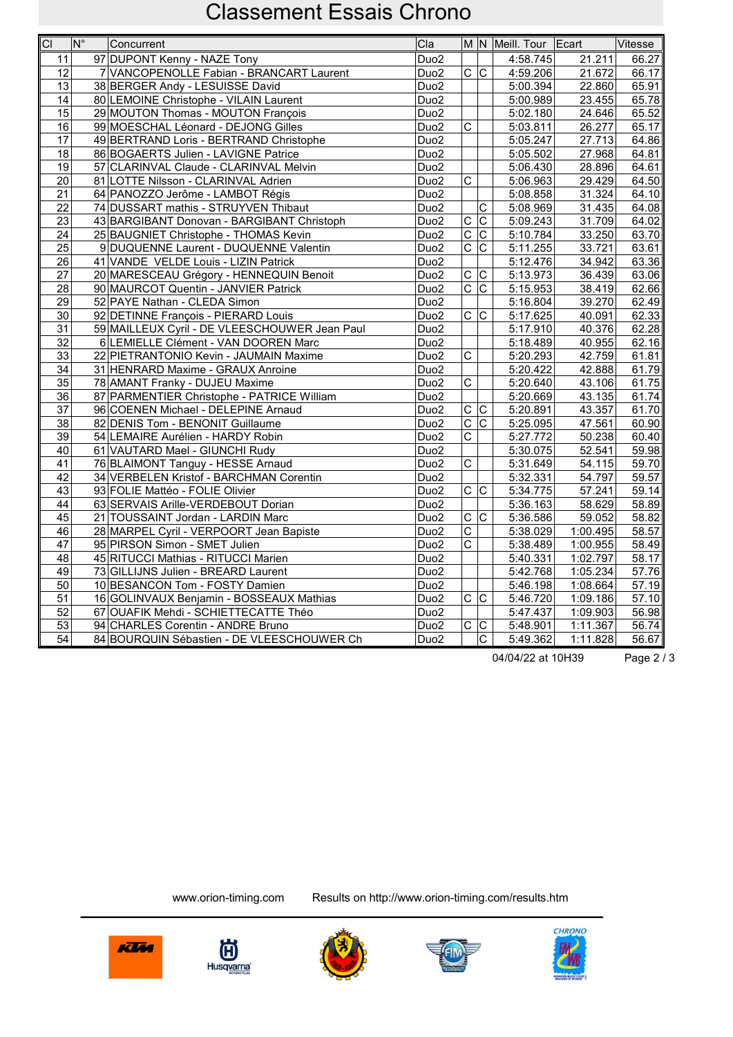| $\overline{CI}$ | $\overline{\mathsf{N}^{\circ}}$ | Concurrent                                    | Cla              |                         |                           | M N Meill. Tour Ecart |          | Vitesse |
|-----------------|---------------------------------|-----------------------------------------------|------------------|-------------------------|---------------------------|-----------------------|----------|---------|
| 11              |                                 | 97 DUPONT Kenny - NAZE Tony                   | Duo <sub>2</sub> |                         |                           | 4:58.745              | 21.211   | 66.27   |
| $\overline{12}$ |                                 | 7 VANCOPENOLLE Fabian - BRANCART Laurent      | Duo <sub>2</sub> | C C                     |                           | 4:59.206              | 21.672   | 66.17   |
| 13              |                                 | 38 BERGER Andy - LESUISSE David               | Duo <sub>2</sub> |                         |                           | $\overline{5:}00.394$ | 22.860   | 65.91   |
| 14              |                                 | 80 LEMOINE Christophe - VILAIN Laurent        | Duo <sub>2</sub> |                         |                           | 5:00.989              | 23.455   | 65.78   |
| 15              |                                 | 29 MOUTON Thomas - MOUTON François            | Duo <sub>2</sub> |                         |                           | 5:02.180              | 24.646   | 65.52   |
| 16              |                                 | 99 MOESCHAL Léonard - DEJONG Gilles           | Duo <sub>2</sub> | $\overline{\mathrm{c}}$ |                           | 5:03.811              | 26.277   | 65.17   |
| 17              |                                 | 49 BERTRAND Loris - BERTRAND Christophe       | Duo <sub>2</sub> |                         |                           | 5:05.247              | 27.713   | 64.86   |
| $\overline{18}$ |                                 | 86 BOGAERTS Julien - LAVIGNE Patrice          | Duo <sub>2</sub> |                         |                           | 5:05.502              | 27.968   | 64.81   |
| 19              |                                 | 57 CLARINVAL Claude - CLARINVAL Melvin        | Duo <sub>2</sub> |                         |                           | 5:06.430              | 28.896   | 64.61   |
| $\overline{20}$ |                                 | 81 LOTTE Nilsson - CLARINVAL Adrien           | Duo <sub>2</sub> | $\overline{\mathrm{c}}$ |                           | 5:06.963              | 29.429   | 64.50   |
| $\overline{21}$ |                                 | 64 PANOZZO Jerôme - LAMBOT Régis              | Duo <sub>2</sub> |                         |                           | 5:08.858              | 31.324   | 64.10   |
| 22              |                                 | 74 DUSSART mathis - STRUYVEN Thibaut          | Duo <sub>2</sub> |                         | С                         | 5:08.969              | 31.435   | 64.08   |
| 23              |                                 | 43 BARGIBANT Donovan - BARGIBANT Christoph    | Duo <sub>2</sub> | $\overline{C}$          | $ \overline{C} $          | 5:09.243              | 31.709   | 64.02   |
| 24              |                                 | 25 BAUGNIET Christophe - THOMAS Kevin         | Duo <sub>2</sub> | $\overline{\mathrm{c}}$ | $ \overline{\mathsf{c}} $ | 5:10.784              | 33.250   | 63.70   |
| 25              |                                 | 9 DUQUENNE Laurent - DUQUENNE Valentin        | Duo <sub>2</sub> | $\overline{\mathrm{c}}$ | $\overline{\mathrm{c}}$   | 5:11.255              | 33.721   | 63.61   |
| 26              |                                 | 41 VANDE VELDE Louis - LIZIN Patrick          | Duo <sub>2</sub> |                         |                           | 5:12.476              | 34.942   | 63.36   |
| 27              |                                 | 20 MARESCEAU Grégory - HENNEQUIN Benoit       | Duo <sub>2</sub> | $\overline{C}$          | $\overline{C}$            | 5:13.973              | 36.439   | 63.06   |
| 28              |                                 | 90 MAURCOT Quentin - JANVIER Patrick          | Duo <sub>2</sub> | $\overline{\mathrm{c}}$ | $\overline{C}$            | 5:15.953              | 38.419   | 62.66   |
| 29              |                                 | 52 PAYE Nathan - CLEDA Simon                  | Duo <sub>2</sub> |                         |                           | 5:16.804              | 39.270   | 62.49   |
| 30              |                                 | 92 DETINNE François - PIERARD Louis           | Duo <sub>2</sub> | C                       | $\mathsf C$               | 5:17.625              | 40.091   | 62.33   |
| 31              |                                 | 59 MAILLEUX Cyril - DE VLEESCHOUWER Jean Paul | Duo <sub>2</sub> |                         |                           | 5:17.910              | 40.376   | 62.28   |
| 32              |                                 | 6 LEMIELLE Clément - VAN DOOREN Marc          | Duo <sub>2</sub> |                         |                           | 5:18.489              | 40.955   | 62.16   |
| 33              |                                 | 22 PIETRANTONIO Kevin - JAUMAIN Maxime        | Duo <sub>2</sub> | $\overline{\mathrm{c}}$ |                           | 5:20.293              | 42.759   | 61.81   |
| $\overline{34}$ |                                 | 31 HENRARD Maxime - GRAUX Anroine             | Duo <sub>2</sub> |                         |                           | 5:20.422              | 42.888   | 61.79   |
| 35              |                                 | 78 AMANT Franky - DUJEU Maxime                | Duo <sub>2</sub> | $\overline{\text{c}}$   |                           | 5:20.640              | 43.106   | 61.75   |
| 36              |                                 | 87 PARMENTIER Christophe - PATRICE William    | Duo <sub>2</sub> |                         |                           | 5:20.669              | 43.135   | 61.74   |
| 37              |                                 | 96 COENEN Michael - DELEPINE Arnaud           | Duo <sub>2</sub> | $\overline{C}$          | c                         | 5:20.891              | 43.357   | 61.70   |
| 38              |                                 | 82 DENIS Tom - BENONIT Guillaume              | Duo <sub>2</sub> | $\overline{\mathsf{C}}$ | $\overline{\mathrm{c}}$   | 5:25.095              | 47.561   | 60.90   |
| $\overline{39}$ |                                 | 54 LEMAIRE Aurélien - HARDY Robin             | Duo <sub>2</sub> | C                       |                           | 5:27.772              | 50.238   | 60.40   |
| 40              |                                 | 61 VAUTARD Mael - GIUNCHI Rudy                | Duo <sub>2</sub> |                         |                           | 5:30.075              | 52.541   | 59.98   |
| 41              |                                 | 76 BLAIMONT Tanguy - HESSE Arnaud             | Duo <sub>2</sub> | C                       |                           | 5:31.649              | 54.115   | 59.70   |
| 42              |                                 | 34 VERBELEN Kristof - BARCHMAN Corentin       | Duo <sub>2</sub> |                         |                           | 5:32.331              | 54.797   | 59.57   |
| 43              |                                 | 93 FOLIE Mattéo - FOLIE Olivier               | Duo <sub>2</sub> | $\overline{c c}$        |                           | 5:34.775              | 57.241   | 59.14   |
| 44              |                                 | 63 SERVAIS Arille-VERDEBOUT Dorian            | Duo <sub>2</sub> |                         |                           | 5:36.163              | 58.629   | 58.89   |
| $\overline{45}$ |                                 | 21 TOUSSAINT Jordan - LARDIN Marc             | Duo <sub>2</sub> | $\overline{C}$          | $\overline{\text{c}}$     | 5:36.586              | 59.052   | 58.82   |
| 46              |                                 | 28 MARPEL Cyril - VERPOORT Jean Bapiste       | Duo <sub>2</sub> | $\overline{C}$          |                           | 5:38.029              | 1:00.495 | 58.57   |
| 47              |                                 | 95 PIRSON Simon - SMET Julien                 | Duo <sub>2</sub> | $\overline{\text{c}}$   |                           | 5:38.489              | 1:00.955 | 58.49   |
| 48              |                                 | 45 RITUCCI Mathias - RITUCCI Marien           | Duo <sub>2</sub> |                         |                           | 5:40.331              | 1:02.797 | 58.17   |
| 49              |                                 | 73 GILLIJNS Julien - BREARD Laurent           | Duo <sub>2</sub> |                         |                           | 5:42.768              | 1:05.234 | 57.76   |
| $\overline{50}$ |                                 | 10 BESANCON Tom - FOSTY Damien                | Duo <sub>2</sub> |                         |                           | 5:46.198              | 1:08.664 | 57.19   |
| 51              |                                 | 16 GOLINVAUX Benjamin - BOSSEAUX Mathias      | Duo <sub>2</sub> | $\overline{c c}$        |                           | $\overline{5:46}.720$ | 1:09.186 | 57.10   |
| 52              |                                 | 67 OUAFIK Mehdi - SCHIETTECATTE Théo          | Duo <sub>2</sub> |                         |                           | 5:47.437              | 1:09.903 | 56.98   |
| $\overline{53}$ |                                 | 94 CHARLES Corentin - ANDRE Bruno             | Duo <sub>2</sub> | $\overline{\text{c}}$   | $ \overline{\text{c}}$    | 5:48.901              | 1:11.367 | 56.74   |
| $\overline{54}$ |                                 | 84 BOURQUIN Sébastien - DE VLEESCHOUWER Ch    | Duo <sub>2</sub> |                         | $\overline{\text{c}}$     | 5:49.362              | 1:11.828 | 56.67   |

04/04/22 at 10H39 Page 2 / 3









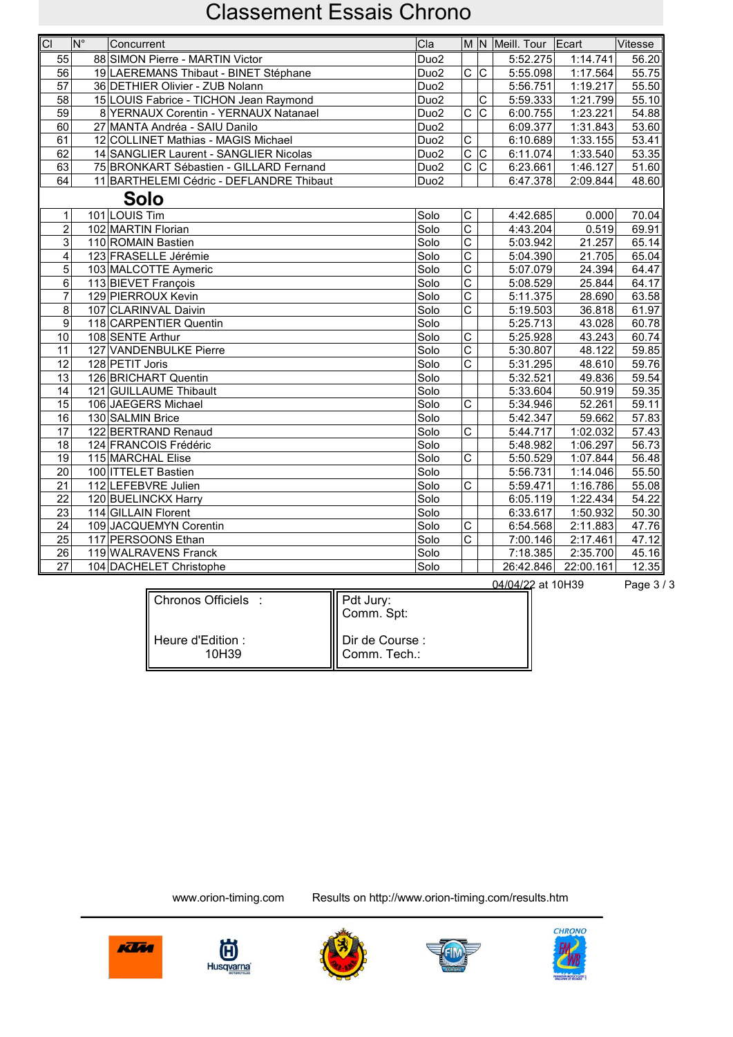| C                | $ N^{\circ} $ | Concurrent                               | Cla              |                               |                         | M N Meill. Tour Ecart |           | Vitesse |
|------------------|---------------|------------------------------------------|------------------|-------------------------------|-------------------------|-----------------------|-----------|---------|
| 55               |               | 88 SIMON Pierre - MARTIN Victor          | Duo <sub>2</sub> |                               |                         | 5:52.275              | 1:14.741  | 56.20   |
| $\overline{56}$  |               | 19 LAEREMANS Thibaut - BINET Stéphane    | Duo <sub>2</sub> | $\overline{C}$ $\overline{C}$ |                         | 5:55.098              | 1:17.564  | 55.75   |
| 57               |               | 36 DETHIER Olivier - ZUB Nolann          | Duo <sub>2</sub> |                               |                         | 5:56.751              | 1:19.217  | 55.50   |
| 58               |               | 15 LOUIS Fabrice - TICHON Jean Raymond   | Duo <sub>2</sub> |                               | C                       | 5:59.333              | 1:21.799  | 55.10   |
| $\overline{59}$  |               | 8 YERNAUX Corentin - YERNAUX Natanael    | Duo <sub>2</sub> | $\overline{\mathrm{c}}$       | $\overline{\text{c}}$   | 6:00.755              | 1:23.221  | 54.88   |
| 60               |               | 27 MANTA Andréa - SAIU Danilo            | Duo <sub>2</sub> |                               |                         | 6:09.377              | 1:31.843  | 53.60   |
| $\overline{61}$  |               | 12 COLLINET Mathias - MAGIS Michael      | Duo <sub>2</sub> | $\overline{\text{c}}$         |                         | 6:10.689              | 1:33.155  | 53.41   |
| 62               |               | 14 SANGLIER Laurent - SANGLIER Nicolas   | Duo <sub>2</sub> | $\overline{\text{C}}$         | $ \overline{\text{c}} $ | 6:11.074              | 1:33.540  | 53.35   |
| 63               |               | 75 BRONKART Sébastien - GILLARD Fernand  | Duo <sub>2</sub> | $\overline{C}$                |                         | 6:23.661              | 1:46.127  | 51.60   |
| 64               |               | 11 BARTHELEMI Cédric - DEFLANDRE Thibaut | Duo <sub>2</sub> |                               |                         | 6:47.378              | 2:09.844  | 48.60   |
|                  |               | Solo                                     |                  |                               |                         |                       |           |         |
| $\mathbf{1}$     |               | 101 LOUIS Tim                            | Solo             | С                             |                         | 4:42.685              | 0.000     | 70.04   |
| $\overline{2}$   |               | 102 MARTIN Florian                       | Solo             | $\overline{\text{c}}$         |                         | 4:43.204              | 0.519     | 69.91   |
| $\overline{3}$   |               | 110 ROMAIN Bastien                       | Solo             | $\overline{\text{c}}$         |                         | 5:03.942              | 21.257    | 65.14   |
| 4                |               | 123 FRASELLE Jérémie                     | Solo             | $\overline{\text{c}}$         |                         | 5:04.390              | 21.705    | 65.04   |
| 5                |               | 103 MALCOTTE Aymeric                     | Solo             | $\overline{\text{c}}$         |                         | 5:07.079              | 24.394    | 64.47   |
| 6                |               | 113 BIEVET François                      | Solo             | $\overline{\text{c}}$         |                         | 5:08.529              | 25.844    | 64.17   |
| $\overline{7}$   |               | 129 PIERROUX Kevin                       | Solo             | $\overline{c}$                |                         | 5:11.375              | 28.690    | 63.58   |
| 8                |               | 107 CLARINVAL Daivin                     | Solo             | $\overline{\text{c}}$         |                         | 5:19.503              | 36.818    | 61.97   |
| $\boldsymbol{9}$ |               | 118 CARPENTIER Quentin                   | Solo             |                               |                         | 5:25.713              | 43.028    | 60.78   |
| 10               |               | 108 SENTE Arthur                         | Solo             | C                             |                         | 5:25.928              | 43.243    | 60.74   |
| 11               |               | 127 VANDENBULKE Pierre                   | Solo             | $\overline{\text{c}}$         |                         | 5:30.807              | 48.122    | 59.85   |
| 12               |               | 128 PETIT Joris                          | Solo             | $\overline{\text{c}}$         |                         | 5:31.295              | 48.610    | 59.76   |
| 13               |               | 126 BRICHART Quentin                     | Solo             |                               |                         | 5:32.521              | 49.836    | 59.54   |
| 14               |               | 121 GUILLAUME Thibault                   | Solo             |                               |                         | 5:33.604              | 50.919    | 59.35   |
| 15               |               | 106 JAEGERS Michael                      | Solo             | C                             |                         | 5:34.946              | 52.261    | 59.11   |
| $\overline{16}$  |               | 130 SALMIN Brice                         | Solo             |                               |                         | 5:42.347              | 59.662    | 57.83   |
| $\overline{17}$  |               | 122 BERTRAND Renaud                      | Solo             | $\overline{\mathrm{c}}$       |                         | 5:44.717              | 1:02.032  | 57.43   |
| 18               |               | 124 FRANCOIS Frédéric                    | Solo             |                               |                         | 5:48.982              | 1:06.297  | 56.73   |
| 19               |               | 115 MARCHAL Elise                        | Solo             | $\overline{\text{c}}$         |                         | 5:50.529              | 1:07.844  | 56.48   |
| 20               |               | 100 ITTELET Bastien                      | Solo             |                               |                         | 5:56.731              | 1:14.046  | 55.50   |
| 21               |               | 112 LEFEBVRE Julien                      | Solo             | C                             |                         | 5:59.471              | 1:16.786  | 55.08   |
| $\overline{22}$  |               | 120 BUELINCKX Harry                      | Solo             |                               |                         | 6:05.119              | 1:22.434  | 54.22   |
| 23               |               | 114 GILLAIN Florent                      | Solo             |                               |                         | 6:33.617              | 1:50.932  | 50.30   |
| 24               |               | 109 JACQUEMYN Corentin                   | Solo             | $\overline{\mathrm{c}}$       |                         | 6:54.568              | 2:11.883  | 47.76   |
| $\overline{25}$  |               | 117 PERSOONS Ethan                       | Solo             | $\overline{\text{c}}$         |                         | 7:00.146              | 2:17.461  | 47.12   |
| 26               |               | 119 WALRAVENS Franck                     | Solo             |                               |                         | 7:18.385              | 2:35.700  | 45.16   |
| $\overline{27}$  |               | 104 DACHELET Christophe                  | Solo             |                               |                         | 26:42.846             | 22:00.161 | 12.35   |

| Chronos Officiels :                    | Pdt Jury:<br>Comm. Spt:         |  |
|----------------------------------------|---------------------------------|--|
| $\parallel$ Heure d'Edition :<br>10H39 | Dir de Course :<br>Comm. Tech.: |  |

04/04/22 at 10H39 Page 3 / 3









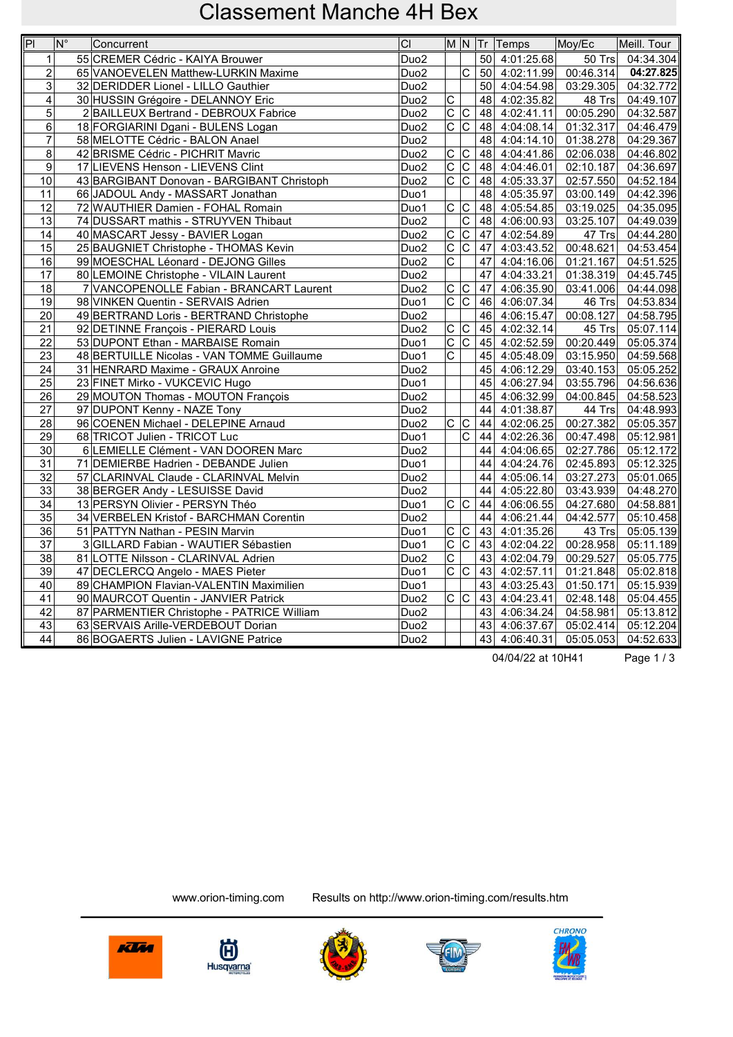| $\boxed{P}$     | $ N^{\circ} $ | Concurrent                                 | CI               |                               |                         |    | M N Tr Temps               | Moy/Ec                 | Meill. Tour |
|-----------------|---------------|--------------------------------------------|------------------|-------------------------------|-------------------------|----|----------------------------|------------------------|-------------|
| $\mathbf{1}$    |               | 55 CREMER Cédric - KAIYA Brouwer           | Duo <sub>2</sub> |                               |                         |    | 50 4:01:25.68              | 50 Trs                 | 04:34.304   |
| $\overline{2}$  |               | 65 VANOEVELEN Matthew-LURKIN Maxime        | Duo <sub>2</sub> |                               | $\overline{\mathsf{c}}$ |    | 50 4:02:11.99              | $\overline{00:46.314}$ | 04:27.825   |
| $\mathbf{3}$    |               | 32 DERIDDER Lionel - LILLO Gauthier        | Duo <sub>2</sub> |                               |                         |    | 50 4:04:54.98              | 03:29.305              | 04:32.772   |
| $\overline{4}$  |               | 30 HUSSIN Grégoire - DELANNOY Eric         | Duo <sub>2</sub> | $\overline{C}$                |                         |    | 48 4:02:35.82              | 48 Trs                 | 04:49.107   |
| $\overline{5}$  |               | 2 BAILLEUX Bertrand - DEBROUX Fabrice      | Duo <sub>2</sub> | $\overline{\text{c}}$         | $ \overline{C} $        |    | 48 4:02:41.11              | $\overline{00:05.290}$ | 04:32.587   |
| 6               |               | 18 FORGIARINI Dgani - BULENS Logan         | Duo <sub>2</sub> | $\overline{\mathsf{c}}$       | $\overline{\mathsf{C}}$ |    | 48 4:04:08.14              | 01:32.317              | 04:46.479   |
| $\overline{7}$  |               | 58 MELOTTE Cédric - BALON Anael            | Duo <sub>2</sub> |                               |                         |    | 48 4:04:14.10              | 01:38.278              | 04:29.367   |
| 8               |               | 42 BRISME Cédric - PICHRIT Mavric          | Duo <sub>2</sub> | $\overline{C}$                | C                       |    | 48 4:04:41.86              | 02:06.038              | 04:46.802   |
| $\overline{9}$  |               | 17 LIEVENS Henson - LIEVENS Clint          | Duo <sub>2</sub> | $ \overline{\text{c}}$        | $\overline{\mathsf{C}}$ |    | 48 4:04:46.01              | 02:10.187              | 04:36.697   |
| 10              |               | 43 BARGIBANT Donovan - BARGIBANT Christoph | Duo <sub>2</sub> | $\overline{\text{c}}$         | $\overline{\mathsf{c}}$ |    | 48 4:05:33.37              | 02:57.550              | 04:52.184   |
| 11              |               | 66 JADOUL Andy - MASSART Jonathan          | Duo1             |                               |                         |    | 48 4:05:35.97              | 03:00.149              | 04:42.396   |
| 12              |               | 72 WAUTHIER Damien - FOHAL Romain          | Duo1             | $\overline{\text{c}}$         | $ \overline{C} $        |    | 48 4:05:54.85              | 03:19.025              | 04:35.095   |
| 13              |               | 74 DUSSART mathis - STRUYVEN Thibaut       | Duo <sub>2</sub> |                               | $\overline{C}$          |    | 48 4:06:00.93              | 03:25.107              | 04:49.039   |
| 14              |               | 40 MASCART Jessy - BAVIER Logan            | Duo <sub>2</sub> | $\overline{\text{c}}$         | $\overline{\mathsf{C}}$ | 47 | 4:02:54.89                 | 47 Trs                 | 04:44.280   |
| 15              |               | 25 BAUGNIET Christophe - THOMAS Kevin      | Duo <sub>2</sub> | $\overline{\text{c}}$         | $\overline{\text{c}}$   | 47 | 4:03:43.52                 | 00:48.621              | 04:53.454   |
| 16              |               | 99 MOESCHAL Léonard - DEJONG Gilles        | Duo <sub>2</sub> | $\overline{\mathsf{c}}$       |                         | 47 | 4:04:16.06                 | 01:21.167              | 04:51.525   |
| 17              |               | 80 LEMOINE Christophe - VILAIN Laurent     | Duo <sub>2</sub> |                               |                         | 47 | 4:04:33.21                 | 01:38.319              | 04:45.745   |
| 18              |               | 7 VANCOPENOLLE Fabian - BRANCART Laurent   | Duo <sub>2</sub> | $\overline{C}$                | C                       | 47 | 4:06:35.90                 | 03:41.006              | 04:44.098   |
| 19              |               | 98 VINKEN Quentin - SERVAIS Adrien         | Duo1             |                               | c                       |    | $\overline{46}$ 4:06:07.34 | $46$ Trs               | 04:53.834   |
| $\overline{20}$ |               | 49 BERTRAND Loris - BERTRAND Christophe    | Duo <sub>2</sub> |                               |                         |    | 46 4:06:15.47              | $\overline{00:}08.127$ | 04:58.795   |
| $\overline{21}$ |               | 92 DETINNE François - PIERARD Louis        | Duo <sub>2</sub> | $\overline{C}$                | $\overline{\mathsf{C}}$ |    | 45 4:02:32.14              | $45$ Trs               | 05:07.114   |
| 22              |               | 53 DUPONT Ethan - MARBAISE Romain          | Duo1             | $\overline{C}$                | $\overline{\mathsf{c}}$ |    | 45 4:02:52.59              | $\overline{00:}20.449$ | 05:05.374   |
| 23              |               | 48 BERTUILLE Nicolas - VAN TOMME Guillaume | Duo1             | $\overline{\text{c}}$         |                         |    | 45 4:05:48.09              | 03:15.950              | 04:59.568   |
| 24              |               | 31 HENRARD Maxime - GRAUX Anroine          | Duo <sub>2</sub> |                               |                         |    | 45 4:06:12.29              | 03:40.153              | 05:05.252   |
| $\overline{25}$ |               | 23 FINET Mirko - VUKCEVIC Hugo             | Duo1             |                               |                         |    | 45 4:06:27.94              | 03:55.796              | 04:56.636   |
| 26              |               | 29 MOUTON Thomas - MOUTON François         | Duo <sub>2</sub> |                               |                         | 45 | 4:06:32.99                 | 04:00.845              | 04:58.523   |
| 27              |               | 97 DUPONT Kenny - NAZE Tony                | Duo <sub>2</sub> |                               |                         |    | 44 4:01:38.87              | 44 Trs                 | 04:48.993   |
| 28              |               | 96 COENEN Michael - DELEPINE Arnaud        | Duo <sub>2</sub> | $\overline{C}$ $\overline{C}$ |                         |    | 44 4:02:06.25              | 00:27.382              | 05:05.357   |
| $\overline{29}$ |               | 68 TRICOT Julien - TRICOT Luc              | Duo1             |                               | lс                      |    | 44 4:02:26.36              | 00:47.498              | 05:12.981   |
| 30              |               | 6 LEMIELLE Clément - VAN DOOREN Marc       | Duo <sub>2</sub> |                               |                         |    | $\overline{44}$ 4:04:06.65 | 02:27.786              | 05:12.172   |
| 31              |               | 71 DEMIERBE Hadrien - DEBANDE Julien       | Duo1             |                               |                         | 44 | 4:04:24.76                 | 02:45.893              | 05:12.325   |
| 32              |               | 57 CLARINVAL Claude - CLARINVAL Melvin     | Duo <sub>2</sub> |                               |                         | 44 | 4:05:06.14                 | 03:27.273              | 05:01.065   |
| 33              |               | 38 BERGER Andy - LESUISSE David            | Duo <sub>2</sub> |                               |                         | 44 | 4:05:22.80                 | 03:43.939              | 04:48.270   |
| 34              |               | 13 PERSYN Olivier - PERSYN Théo            | Duo1             | c c                           |                         |    | $\overline{44}$ 4:06:06.55 | 04:27.680              | 04:58.881   |
| $\overline{35}$ |               | 34 VERBELEN Kristof - BARCHMAN Corentin    | Duo <sub>2</sub> |                               |                         |    | 44 4:06:21.44              | 04:42.577              | 05:10.458   |
| 36              |               | 51 PATTYN Nathan - PESIN Marvin            | Duo1             | $\overline{\text{c}}$         | $\overline{C}$          |    | 43 4:01:35.26              | $\overline{4}3$ Trs    | 05:05.139   |
| 37              |               | 3 GILLARD Fabian - WAUTIER Sébastien       | Duo1             | $\overline{C}$                | $\overline{C}$          |    | 43 4:02:04.22              | 00:28.958              | 05:11.189   |
| 38              |               | 81 LOTTE Nilsson - CLARINVAL Adrien        | Duo <sub>2</sub> | $\overline{c}$                |                         |    | 43 4:02:04.79              | 00:29.527              | 05:05.775   |
| 39              |               | 47 DECLERCQ Angelo - MAES Pieter           | Duo1             | $\overline{c c}$              |                         |    | 43 4:02:57.11              | 01:21.848              | 05:02.818   |
| 40              |               | 89 CHAMPION Flavian-VALENTIN Maximilien    | Duo1             |                               |                         |    | 43 4:03:25.43              | 01:50.171              | 05:15.939   |
| 41              |               | 90 MAURCOT Quentin - JANVIER Patrick       | Duo <sub>2</sub> | c                             |                         |    | 43 4:04:23.41              | 02:48.148              | 05:04.455   |
| 42              |               | 87 PARMENTIER Christophe - PATRICE William | Duo <sub>2</sub> |                               |                         |    | 43 4:06:34.24              | 04:58.981              | 05:13.812   |
| 43              |               | 63 SERVAIS Arille-VERDEBOUT Dorian         | Duo <sub>2</sub> |                               |                         |    | 43 4:06:37.67              | 05:02.414              | 05:12.204   |
| 44              |               | 86 BOGAERTS Julien - LAVIGNE Patrice       | Duo <sub>2</sub> |                               |                         |    | 43 4:06:40.31              | 05:05.053              | 04:52.633   |

04/04/22 at 10H41 Page 1 / 3









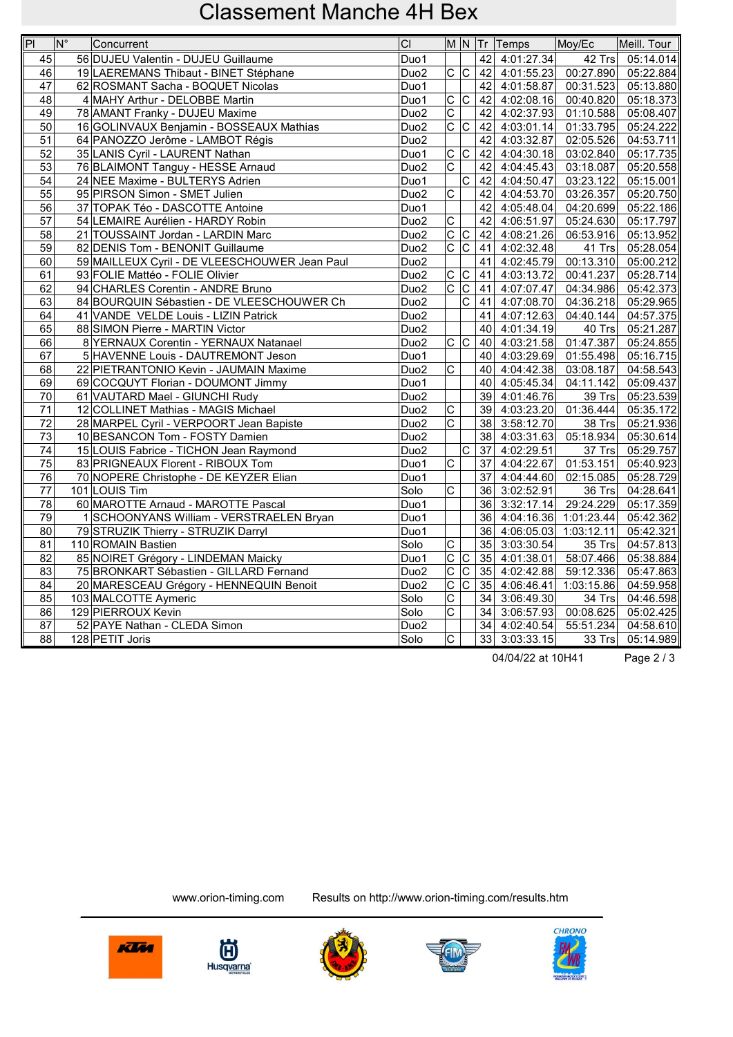| $\overline{P}$  | $\overline{\mathsf{N}^{\circ}}$<br>Concurrent | CI               |                         |                         |      | M N Tr Temps               | Moy/Ec     | Meill. Tour |
|-----------------|-----------------------------------------------|------------------|-------------------------|-------------------------|------|----------------------------|------------|-------------|
| 45              | 56 DUJEU Valentin - DUJEU Guillaume           | Duo1             |                         |                         | 42   | 4:01:27.34                 | 42 Trs     | 05:14.014   |
| 46              | 19 LAEREMANS Thibaut - BINET Stéphane         | Duo <sub>2</sub> | $\overline{c c}$        |                         |      | 42 4:01:55.23              | 00:27.890  | 05:22.884   |
| 47              | 62 ROSMANT Sacha - BOQUET Nicolas             | Duo1             |                         |                         | 42   | 4:01:58.87                 | 00:31.523  | 05:13.880   |
| 48              | 4 MAHY Arthur - DELOBBE Martin                | Duo1             | $\frac{1}{\sqrt{2}}$    |                         | 42   | 4:02:08.16                 | 00:40.820  | 05:18.373   |
| 49              | 78 AMANT Franky - DUJEU Maxime                | Duo <sub>2</sub> | $\overline{c}$          |                         | 42   | 4:02:37.93                 | 01:10.588  | 05:08.407   |
| 50              | 16 GOLINVAUX Benjamin - BOSSEAUX Mathias      | Duo <sub>2</sub> | $\overline{\text{c}}$   | $\overline{\mathsf{C}}$ | 42   | 4:03:01.14                 | 01:33.795  | 05:24.222   |
| 51              | 64 PANOZZO Jerôme - LAMBOT Régis              | Duo <sub>2</sub> |                         |                         | 42   | 4:03:32.87                 | 02:05.526  | 04:53.711   |
| 52              | 35 LANIS Cyril - LAURENT Nathan               | Duo1             | $\overline{C}$          | $ \overline{C} $        | 42   | $\overline{4:}04:30.18$    | 03:02.840  | 05:17.735   |
| 53              | 76 BLAIMONT Tanguy - HESSE Arnaud             | Duo <sub>2</sub> | $\overline{\mathrm{c}}$ |                         | 42   | 4:04:45.43                 | 03:18.087  | 05:20.558   |
| $\overline{54}$ | 24 NEE Maxime - BULTERYS Adrien               | Duo1             |                         | $\overline{\text{c}}$   | 42   | 4:04:50.47                 | 03:23.122  | 05:15.001   |
| 55              | 95 PIRSON Simon - SMET Julien                 | Duo <sub>2</sub> | $\overline{\text{c}}$   |                         | 42   | 4:04:53.70                 | 03:26.357  | 05:20.750   |
| 56              | 37 TOPAK Téo - DASCOTTE Antoine               | Duo1             |                         |                         | 42   | 4:05:48.04                 | 04:20.699  | 05:22.186   |
| $\overline{57}$ | 54 LEMAIRE Aurélien - HARDY Robin             | Duo <sub>2</sub> | $\overline{C}$          |                         | 42   | 4:06:51.97                 | 05:24.630  | 05:17.797   |
| 58              | 21 TOUSSAINT Jordan - LARDIN Marc             | Duo <sub>2</sub> | $\overline{\mathrm{c}}$ | $\overline{C}$          | 42   | 4:08:21.26                 | 06:53.916  | 05:13.952   |
| $\overline{59}$ | 82 DENIS Tom - BENONIT Guillaume              | Duo <sub>2</sub> | $\overline{\mathrm{c}}$ | $\overline{\text{c}}$   | 41   | 4:02:32.48                 | 41 Trs     | 05:28.054   |
| 60              | 59 MAILLEUX Cyril - DE VLEESCHOUWER Jean Paul | Duo <sub>2</sub> |                         |                         | 41   | 4:02:45.79                 | 00:13.310  | 05:00.212   |
| 61              | 93 FOLIE Mattéo - FOLIE Olivier               | Duo <sub>2</sub> | $\overline{\mathsf{C}}$ | $\overline{C}$          | 41   | 4:03:13.72                 | 00:41.237  | 05:28.714   |
| 62              | 94 CHARLES Corentin - ANDRE Bruno             | Duo <sub>2</sub> | $\overline{C}$          | $\overline{\mathsf{C}}$ | 41   | 4:07:07.47                 | 04:34.986  | 05:42.373   |
| 63              | 84 BOURQUIN Sébastien - DE VLEESCHOUWER Ch    | Duo <sub>2</sub> |                         | $\overline{C}$          | 41   | 4:07:08.70                 | 04:36.218  | 05:29.965   |
| 64              | 41 VANDE VELDE Louis - LIZIN Patrick          | Duo <sub>2</sub> |                         |                         | 41   | 4:07:12.63                 | 04:40.144  | 04:57.375   |
| 65              | 88 SIMON Pierre - MARTIN Victor               | Duo <sub>2</sub> |                         |                         |      | 40 4:01:34.19              | $40$ Trs   | 05:21.287   |
| 66              | 8 YERNAUX Corentin - YERNAUX Natanael         | Duo <sub>2</sub> | $\overline{c c}$        |                         |      | 40 4:03:21.58              | 01:47.387  | 05:24.855   |
| 67              | 5 HAVENNE Louis - DAUTREMONT Jeson            | Duo1             |                         |                         |      | $\overline{40}$ 4:03:29.69 | 01:55.498  | 05:16.715   |
| 68              | 22 PIETRANTONIO Kevin - JAUMAIN Maxime        | Duo <sub>2</sub> | $\overline{\mathrm{c}}$ |                         |      | 40 4:04:42.38              | 03:08.187  | 04:58.543   |
| 69              | 69 COCQUYT Florian - DOUMONT Jimmy            | Duo1             |                         |                         |      | 40 4:05:45.34              | 04:11.142  | 05:09.437   |
| 70              | 61 VAUTARD Mael - GIUNCHI Rudy                | Duo <sub>2</sub> |                         |                         |      | 39 4:01:46.76              | 39 Trs     | 05:23.539   |
| 71              | 12 COLLINET Mathias - MAGIS Michael           | Duo <sub>2</sub> | $\mathsf C$             |                         |      | 39 4:03:23.20              | 01:36.444  | 05:35.172   |
| 72              | 28 MARPEL Cyril - VERPOORT Jean Bapiste       | Duo <sub>2</sub> | $\overline{\mathrm{c}}$ |                         | 38   | 3:58:12.70                 | 38 Trs     | 05:21.936   |
| 73              | 10 BESANCON Tom - FOSTY Damien                | Duo <sub>2</sub> |                         |                         | 38   | 4:03:31.63                 | 05:18.934  | 05:30.614   |
| 74              | 15 LOUIS Fabrice - TICHON Jean Raymond        | Duo <sub>2</sub> |                         | $\overline{\text{c}}$   |      | 37 4:02:29.51              | 37 Trs     | 05:29.757   |
| 75              | 83 PRIGNEAUX Florent - RIBOUX Tom             | Duo1             | $\overline{\text{c}}$   |                         | 37   | 4:04:22.67                 | 01:53.151  | 05:40.923   |
| 76              | 70 NOPERE Christophe - DE KEYZER Elian        | Duo1             |                         |                         | 37   | 4:04:44.60                 | 02:15.085  | 05:28.729   |
| 77              | 101 LOUIS Tim                                 | Solo             | $\overline{\mathrm{c}}$ |                         | 36 l | 3:02:52.91                 | $36$ Trs   | 04:28.641   |
| 78              | 60 MAROTTE Arnaud - MAROTTE Pascal            | Duo1             |                         |                         | 36   | 3:32:17.14                 | 29:24.229  | 05:17.359   |
| 79              | 1 SCHOONYANS William - VERSTRAELEN Bryan      | Duo1             |                         |                         |      | 36 4:04:16.36              | 1:01:23.44 | 05:42.362   |
| 80              | 79 STRUZIK Thierry - STRUZIK Darryl           | Duo1             |                         |                         | 36   | 4:06:05.03                 | 1:03:12.11 | 05:42.321   |
| 81              | 110 ROMAIN Bastien                            | Solo             | $\mathsf C$             |                         | 35   | 3:03:30.54                 | 35 Trs     | 04:57.813   |
| 82              | 85 NOIRET Grégory - LINDEMAN Maicky           | Duo1             | $\overline{\mathsf{c}}$ | $\overline{\mathsf{C}}$ |      | 35 4:01:38.01              | 58:07.466  | 05:38.884   |
| 83              | 75 BRONKART Sébastien - GILLARD Fernand       | Duo <sub>2</sub> | $\overline{\text{c}}$   | $\overline{C}$          | 35   | 4:02:42.88                 | 59:12.336  | 05:47.863   |
| 84              | 20 MARESCEAU Grégory - HENNEQUIN Benoit       | Duo <sub>2</sub> | $\overline{\text{c}}$   | $\overline{C}$          |      | $35 \mid 4:06:46.41$       | 1:03:15.86 | 04:59.958   |
| 85              | 103 MALCOTTE Aymeric                          | Solo             | $\overline{\text{c}}$   |                         | 34   | 3:06:49.30                 | 34 Trs     | 04:46.598   |
| 86              | 129 PIERROUX Kevin                            | Solo             | $\overline{\text{c}}$   |                         | 34   | 3:06:57.93                 | 00:08.625  | 05:02.425   |
| 87              | 52 PAYE Nathan - CLEDA Simon                  | Duo <sub>2</sub> |                         |                         | 34   | 4:02:40.54                 | 55:51.234  | 04:58.610   |
| 88              | 128 PETIT Joris                               | Solo             | $\overline{\text{c}}$   |                         |      | 33 3:03:33.15              | 33 Trs     | 05:14.989   |

04/04/22 at 10H41 Page 2 / 3









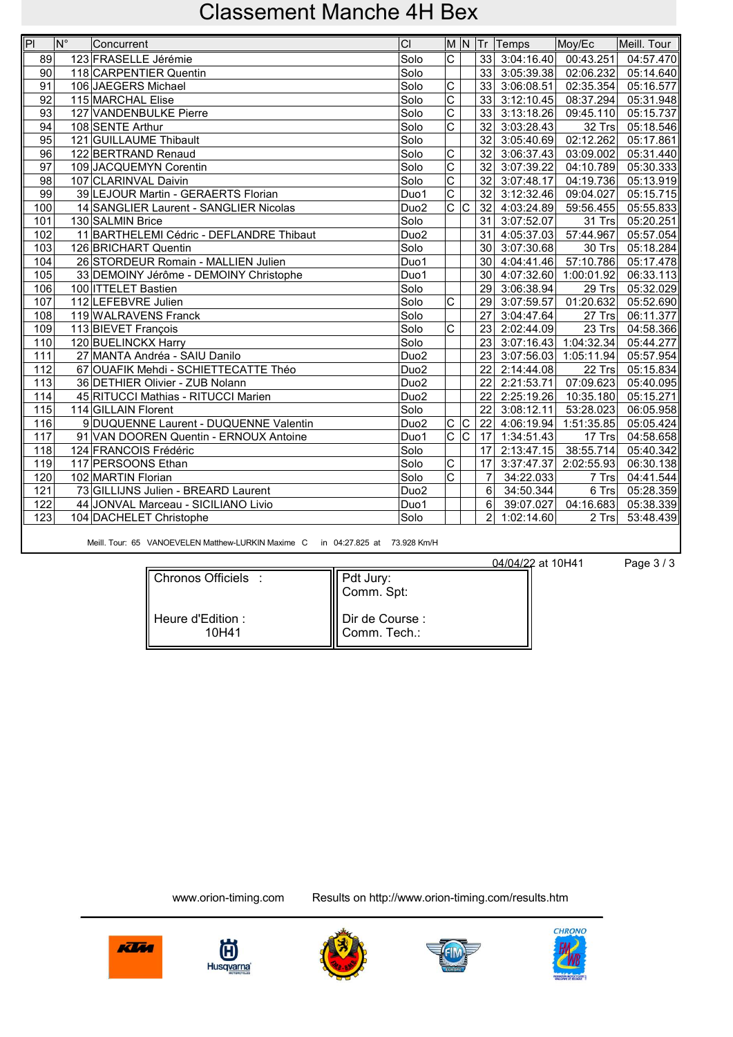| $\overline{\mathsf{P}}$ | $\mathsf{N}^{\circ}$ | Concurrent                               | CI               |                         |                         |                 | M N Tr Temps               | Moy/Ec                  | Meill. Tour             |
|-------------------------|----------------------|------------------------------------------|------------------|-------------------------|-------------------------|-----------------|----------------------------|-------------------------|-------------------------|
| 89                      |                      | 123 FRASELLE Jérémie                     | Solo             | $\overline{\mathrm{c}}$ |                         |                 | 33 3:04:16.40              | 00:43.251               | 04:57.470               |
| 90                      |                      | 118 CARPENTIER Quentin                   | Solo             |                         |                         |                 | 33 3:05:39.38              | 02:06.232               | $\overline{0}$ 5:14.640 |
| 91                      |                      | 106 JAEGERS Michael                      | Solo             | C                       |                         |                 | 33 3:06:08.51              | 02:35.354               | 05:16.577               |
| 92                      |                      | 115 MARCHAL Elise                        | Solo             | $\overline{\mathrm{c}}$ |                         |                 | 33 3:12:10.45              | 08:37.294               | 05:31.948               |
| 93                      |                      | 127 VANDENBULKE Pierre                   | Solo             | $\overline{\mathrm{c}}$ |                         |                 | 33 3:13:18.26              | 09:45.110               | 05:15.737               |
| 94                      |                      | 108 SENTE Arthur                         | Solo             | $\overline{\text{c}}$   |                         | $\overline{32}$ | 3:03:28.43                 | 32 Trs                  | 05:18.546               |
| 95                      |                      | 121 GUILLAUME Thibault                   | Solo             |                         |                         | $\overline{32}$ | 3:05:40.69                 | 02:12.262               | 05:17.861               |
| 96                      |                      | 122 BERTRAND Renaud                      | Solo             | C                       |                         | 32              | 3:06:37.43                 | 03:09.002               | 05:31.440               |
| 97                      |                      | 109 JACQUEMYN Corentin                   | Solo             | $\overline{\mathrm{c}}$ |                         | 32              | 3:07:39.22                 | 04:10.789               | 05:30.333               |
| 98                      |                      | 107 CLARINVAL Daivin                     | Solo             | $\overline{\text{c}}$   |                         | 32              | 3:07:48.17                 | 04:19.736               | 05:13.919               |
| $\overline{99}$         |                      | 39 LEJOUR Martin - GERAERTS Florian      | Duo1             | $\overline{\mathrm{c}}$ |                         | 32              | 3:12:32.46                 | 09:04.027               | 05:15.715               |
| 100                     |                      | 14 SANGLIER Laurent - SANGLIER Nicolas   | Duo <sub>2</sub> | $\overline{\mathrm{c}}$ | $\overline{C}$          |                 | $\overline{32}$ 4:03:24.89 | 59:56.455               | 05:55.833               |
| 101                     |                      | 130 SALMIN Brice                         | Solo             |                         |                         |                 | 31 3:07:52.07              | 31 Trs                  | 05:20.251               |
| 102                     |                      | 11 BARTHELEMI Cédric - DEFLANDRE Thibaut | Duo <sub>2</sub> |                         |                         |                 | 31 4:05:37.03              | 57:44.967               | 05:57.054               |
| 103                     |                      | 126 BRICHART Quentin                     | Solo             |                         |                         |                 | 30 3:07:30.68              | 30 Trs                  | 05:18.284               |
| 104                     |                      | 26 STORDEUR Romain - MALLIEN Julien      | Duo1             |                         |                         |                 | 30 4:04:41.46              | $\overline{57:10.786}$  | 05:17.478               |
| 105                     |                      | 33 DEMOINY Jérôme - DEMOINY Christophe   | Duo1             |                         |                         |                 | 30 4:07:32.60              | 1:00:01.92              | 06:33.113               |
| 106                     |                      | 100 ITTELET Bastien                      | Solo             |                         |                         |                 | 29 3:06:38.94              | 29 Trs                  | 05:32.029               |
| 107                     |                      | 112 LEFEBVRE Julien                      | Solo             | $\overline{\mathrm{c}}$ |                         |                 | 29 3:07:59.57              | 01:20.632               | 05:52.690               |
| 108                     |                      | 119 WALRAVENS Franck                     | Solo             |                         |                         | 27              | 3:04:47.64                 | 27 Trs                  | 06:11.377               |
| 109                     |                      | 113 BIEVET François                      | Solo             | $\overline{\text{c}}$   |                         |                 | 23 2:02:44.09              | 23 Trs                  | 04:58.366               |
| 110                     |                      | 120 BUELINCKX Harry                      | Solo             |                         |                         |                 | 23 3:07:16.43              | 1:04:32.34              | 05:44.277               |
| 111                     |                      | 27 MANTA Andréa - SAIU Danilo            | Duo <sub>2</sub> |                         |                         |                 | 23 3:07:56.03              | 1:05:11.94              | 05:57.954               |
| 112                     |                      | 67 OUAFIK Mehdi - SCHIETTECATTE Théo     | Duo <sub>2</sub> |                         |                         | 22              | 2:14:44.08                 | 22 Trs                  | 05:15.834               |
| $\overline{113}$        |                      | 36 DETHIER Olivier - ZUB Nolann          | Du <sub>02</sub> |                         |                         | $\overline{22}$ | 2:21:53.71                 | 07:09.623               | 05:40.095               |
| 114                     |                      | 45 RITUCCI Mathias - RITUCCI Marien      | Duo <sub>2</sub> |                         |                         |                 | 22 2:25:19.26              | 10:35.180               | 05:15.271               |
| 115                     |                      | 114 GILLAIN Florent                      | Solo             |                         |                         | 22              | 3:08:12.11                 | 53:28.023               | 06:05.958               |
| 116                     |                      | 9 DUQUENNE Laurent - DUQUENNE Valentin   | Duo <sub>2</sub> | $\overline{C}$          | $\overline{\mathsf{C}}$ | $\overline{22}$ | 4:06:19.94                 | 1:51:35.85              | 05:05.424               |
| 117                     |                      | 91 VAN DOOREN Quentin - ERNOUX Antoine   | Duo1             | $\bar{c}$               | $\overline{\mathsf{c}}$ | $\overline{17}$ | 1:34:51.43                 | 17 Trs                  | 04:58.658               |
| 118                     |                      | 124 FRANCOIS Frédéric                    | Solo             |                         |                         | 17              | 2:13:47.15                 | 38:55.714               | 05:40.342               |
| 119                     |                      | 117 PERSOONS Ethan                       | Solo             | $\overline{C}$          |                         | 17              | 3:37:47.37                 | 2:02:55.93              | 06:30.138               |
| 120                     |                      | 102 MARTIN Florian                       | Solo             | $\overline{\mathrm{c}}$ |                         | $\overline{7}$  | 34:22.033                  | 7 Trs                   | 04:41.544               |
| 121                     |                      | 73 GILLIJNS Julien - BREARD Laurent      | Duo <sub>2</sub> |                         |                         | $6\phantom{1}$  | 34:50.344                  | $6$ Trs                 | 05:28.359               |
| 122                     |                      | 44 JONVAL Marceau - SICILIANO Livio      | Duo1             |                         |                         | 6               | 39:07.027                  | $\overline{0}$ 4:16.683 | 05:38.339               |
| 123                     |                      | 104 DACHELET Christophe                  | Solo             |                         |                         | $\overline{2}$  | 1:02:14.60                 | 2 Trs                   | 53:48.439               |
|                         |                      |                                          |                  |                         |                         |                 |                            |                         |                         |

Meill. Tour: 65 VANOEVELEN Matthew-LURKIN Maxime C in 04:27.825 at 73.928 Km/H

04/04/22 at 10H41 Page 3 / 3

| Chronos Officiels :         | Pdt Jury:<br>Comm. Spt:           |
|-----------------------------|-----------------------------------|
| ⊟Heure d'Edition :<br>10H41 | I Dir de Course :<br>Comm. Tech.: |









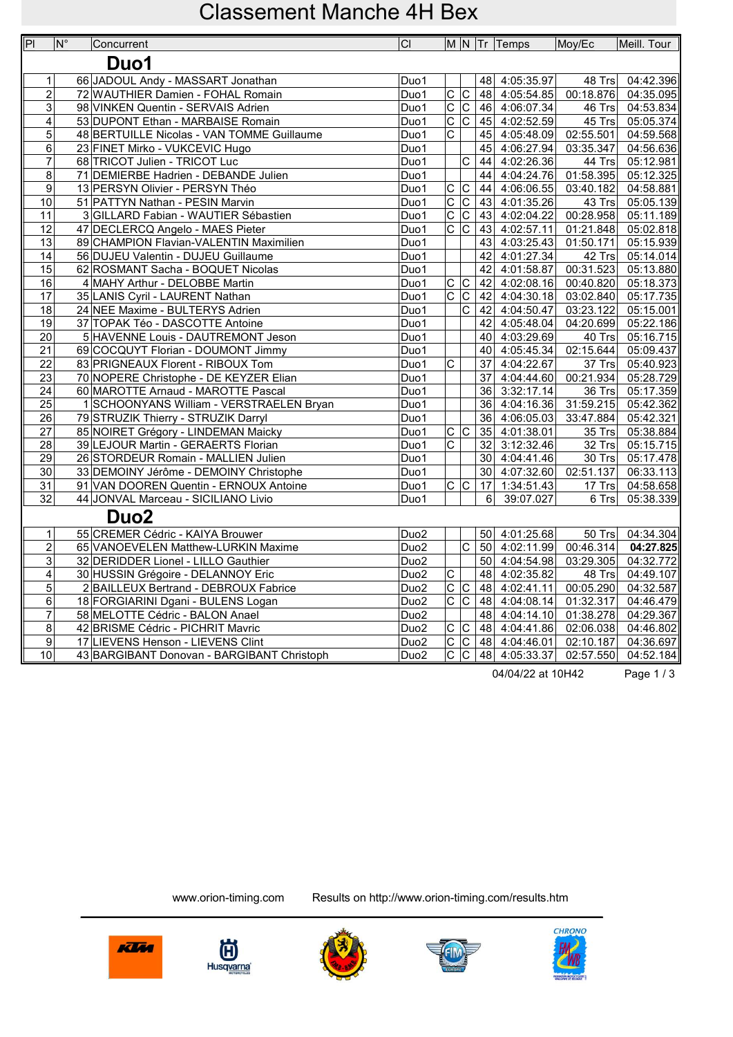| P                  | $N^{\circ}$ | Concurrent                                 | CI               |                               |                                     |                 | $\vert$ M $\vert$ N $\vert$ Tr $\vert$ Temps | Moy/Ec                 | Meill. Tour |
|--------------------|-------------|--------------------------------------------|------------------|-------------------------------|-------------------------------------|-----------------|----------------------------------------------|------------------------|-------------|
|                    |             | Duo1                                       |                  |                               |                                     |                 |                                              |                        |             |
|                    |             |                                            |                  |                               |                                     |                 |                                              |                        |             |
| $\mathbf{1}$       |             | 66 JADOUL Andy - MASSART Jonathan          | Duo1             |                               |                                     |                 | 48 4:05:35.97                                | 48 Trs                 | 04:42.396   |
| $\overline{2}$     |             | 72 WAUTHIER Damien - FOHAL Romain          | Duo1             | $\overline{C}$                |                                     |                 | 48 4:05:54.85                                | 00:18.876              | 04:35.095   |
| $\overline{3}$     |             | 98 VINKEN Quentin - SERVAIS Adrien         | Duo1             | $\overline{\mathsf{c}}$       | $\overline{\text{c}}$<br>टि         | 46              | 4:06:07.34                                   | 46 Trs                 | 04:53.834   |
| 4                  |             | 53 DUPONT Ethan - MARBAISE Romain          | Duo1             | $\overline{\mathrm{c}}$       |                                     |                 | $\boxed{45}$ 4:02:52.59                      | 45 Trs                 | 05:05.374   |
| 5                  |             | 48 BERTUILLE Nicolas - VAN TOMME Guillaume | Duo1             | $\overline{C}$                |                                     | 45              | 4:05:48.09                                   | 02:55.501              | 04:59.568   |
| 6                  |             | 23 FINET Mirko - VUKCEVIC Hugo             | Duo1             |                               |                                     | 45              | 4:06:27.94                                   | 03:35.347              | 04:56.636   |
| $\overline{7}$     |             | 68 TRICOT Julien - TRICOT Luc              | Duo1             |                               | $\overline{\text{c}}$               |                 | 44 4:02:26.36                                | 44 Trs                 | 05:12.981   |
| $\overline{8}$     |             | 71 DEMIERBE Hadrien - DEBANDE Julien       | Duo1             |                               |                                     |                 | 44 4:04:24.76                                | 01:58.395              | 05:12.325   |
| $\overline{9}$     |             | 13 PERSYN Olivier - PERSYN Théo            | Duo1             | $rac{C}{C}$                   | $\overline{\mathsf{C}}$             |                 | 44 4:06:06.55                                | 03:40.182              | 04:58.881   |
| 10                 |             | 51 PATTYN Nathan - PESIN Marvin            | Duo1             |                               | $\frac{\overline{C}}{\overline{C}}$ | 43              | 4:01:35.26                                   | 43 Trs                 | 05:05.139   |
| 11                 |             | 3 GILLARD Fabian - WAUTIER Sébastien       | Duo1             | $\overline{C}$                |                                     | 43              | 4:02:04.22                                   | 00:28.958              | 05:11.189   |
| 12                 |             | 47 DECLERCQ Angelo - MAES Pieter           | Duo1             | $\overline{c c}$              |                                     |                 | 43 4:02:57.11                                | 01:21.848              | 05:02.818   |
| 13                 |             | 89 CHAMPION Flavian-VALENTIN Maximilien    | Duo1             |                               |                                     | 43              | 4:03:25.43                                   | 01:50.171              | 05:15.939   |
| $\overline{14}$    |             | 56 DUJEU Valentin - DUJEU Guillaume        | Duo1             |                               |                                     |                 | 42 4:01:27.34                                | 42 Trs                 | 05:14.014   |
| 15                 |             | 62 ROSMANT Sacha - BOQUET Nicolas          | Duo1             |                               |                                     | 42              | 4:01:58.87                                   | 00:31.523              | 05:13.880   |
| 16                 |             | 4 MAHY Arthur - DELOBBE Martin             | Duo1             | $\overline{c}$                | $\overline{\mathsf{c}}$             | 42              | 4:02:08.16                                   | 00:40.820              | 05:18.373   |
| 17                 |             | 35 LANIS Cyril - LAURENT Nathan            | Duo1             |                               | $\overline{C}$ $\overline{C}$       | 42              | 4:04:30.18                                   | 03:02.840              | 05:17.735   |
| 18                 |             | 24 NEE Maxime - BULTERYS Adrien            | Duo1             |                               | $\overline{C}$                      | 42              | 4:04:50.47                                   | 03:23.122              | 05:15.001   |
| 19                 |             | 37 TOPAK Téo - DASCOTTE Antoine            | Duo1             |                               |                                     |                 | 42 4:05:48.04                                | 04:20.699              | 05:22.186   |
| 20                 |             | 5 HAVENNE Louis - DAUTREMONT Jeson         | Duo1             |                               |                                     |                 | 40 4:03:29.69                                | 40 Trs                 | 05:16.715   |
| $\overline{21}$    |             | 69 COCQUYT Florian - DOUMONT Jimmy         | Duo1             |                               |                                     | 40              | 4:05:45.34                                   | 02:15.644              | 05:09.437   |
| 22                 |             | 83 PRIGNEAUX Florent - RIBOUX Tom          | Duo1             | $\overline{\text{c}}$         |                                     | 37              | 4:04:22.67                                   | $37$ Trs               | 05:40.923   |
| 23                 |             | 70 NOPERE Christophe - DE KEYZER Elian     | Duo1             |                               |                                     | 37              | 4:04:44.60                                   | 00:21.934              | 05:28.729   |
| 24                 |             | 60 MAROTTE Arnaud - MAROTTE Pascal         | Duo1             |                               |                                     | 36              | 3:32:17.14                                   | 36 Trs                 | 05:17.359   |
| 25                 |             | 1 SCHOONYANS William - VERSTRAELEN Bryan   | Duo1             |                               |                                     | 36              | 4:04:16.36                                   | 31:59.215              | 05:42.362   |
| $\overline{26}$    |             | 79 STRUZIK Thierry - STRUZIK Darryl        | Duo1             |                               |                                     |                 | 36 4:06:05.03                                | 33:47.884              | 05:42.321   |
| 27                 |             | 85 NOIRET Grégory - LINDEMAN Maicky        | Duo1             | $\overline{C}$                | $ \overline{C} $                    | 35              | 4:01:38.01                                   | 35 Trs                 | 05:38.884   |
| 28                 |             | 39 LEJOUR Martin - GERAERTS Florian        | Duo1             | $\overline{\mathrm{c}}$       |                                     | 32              | 3:12:32.46                                   | 32 Trs                 | 05:15.715   |
| 29                 |             | 26 STORDEUR Romain - MALLIEN Julien        | Duo1             |                               |                                     | 30 <sup>1</sup> | 4:04:41.46                                   | 30 Trs                 | 05:17.478   |
| 30                 |             | 33 DEMOINY Jérôme - DEMOINY Christophe     | Duo1             | $\overline{C}$ $\overline{C}$ |                                     |                 | 30 4:07:32.60                                | 02:51.137              | 06:33.113   |
| $\overline{31}$    |             | 91 VAN DOOREN Quentin - ERNOUX Antoine     | Duo1             |                               |                                     | 17<br>6         | 1:34:51.43                                   | 17 $Trs$               | 04:58.658   |
| $\overline{32}$    |             | 44 JONVAL Marceau - SICILIANO Livio        | Duo1             |                               |                                     |                 | 39:07.027                                    | $6$ Trs                | 05:38.339   |
|                    |             | Duo <sub>2</sub>                           |                  |                               |                                     |                 |                                              |                        |             |
| $\mathbf{1}$       |             | 55 CREMER Cédric - KAIYA Brouwer           | Duo <sub>2</sub> |                               |                                     | 50              | 4:01:25.68                                   | 50 Trs                 | 04:34.304   |
| $\overline{2}$     |             | 65 VANOEVELEN Matthew-LURKIN Maxime        | Duo <sub>2</sub> |                               | $\overline{\mathsf{c}}$             | 50              | 4:02:11.99                                   | $\overline{00:}46.314$ | 04:27.825   |
| $\overline{3}$     |             | 32 DERIDDER Lionel - LILLO Gauthier        | Duo <sub>2</sub> |                               |                                     |                 | 50 4:04:54.98                                | 03:29.305              | 04:32.772   |
| $\overline{4}$     |             | 30 HUSSIN Grégoire - DELANNOY Eric         | Duo <sub>2</sub> | $\overline{C}$                |                                     |                 | 48 4:02:35.82                                | $48$ Trs               | 04:49.107   |
| $\overline{5}$     |             | 2 BAILLEUX Bertrand - DEBROUX Fabrice      | Duo <sub>2</sub> | $\overline{c c}$              |                                     |                 | 48 4:02:41.11                                | 00:05.290              | 04:32.587   |
| 6                  |             | 18 FORGIARINI Dgani - BULENS Logan         | Duo <sub>2</sub> | $\overline{\mathsf{c}}$       | $\overline{\text{c}}$               |                 | 48 4:04:08.14                                | 01:32.317              | 04:46.479   |
| $\overline{7}$     |             | 58 MELOTTE Cédric - BALON Anael            | Duo <sub>2</sub> |                               |                                     | 48              | 4:04:14.10                                   | 01:38.278              | 04:29.367   |
| $\overline{\bf 8}$ |             | 42 BRISME Cédric - PICHRIT Mavric          | Duo <sub>2</sub> | $\overline{C}$                | $ \overline{\mathsf{c}} $           |                 | 48 4:04:41.86                                | 02:06.038              | 04:46.802   |
| 9                  |             | 17 LIEVENS Henson - LIEVENS Clint          | Duo <sub>2</sub> | $\overline{\mathsf{c}}$       | $\overline{C}$                      |                 | 48 4:04:46.01                                | 02:10.187              | 04:36.697   |
| 10                 |             | 43 BARGIBANT Donovan - BARGIBANT Christoph | Duo <sub>2</sub> | $\overline{\mathrm{c}}$       |                                     |                 | $ C $ 48 4:05:33.37                          | 02:57.550              | 04:52.184   |

04/04/22 at 10H42 Page 1/3

间 **Husqvarna** 

Klin







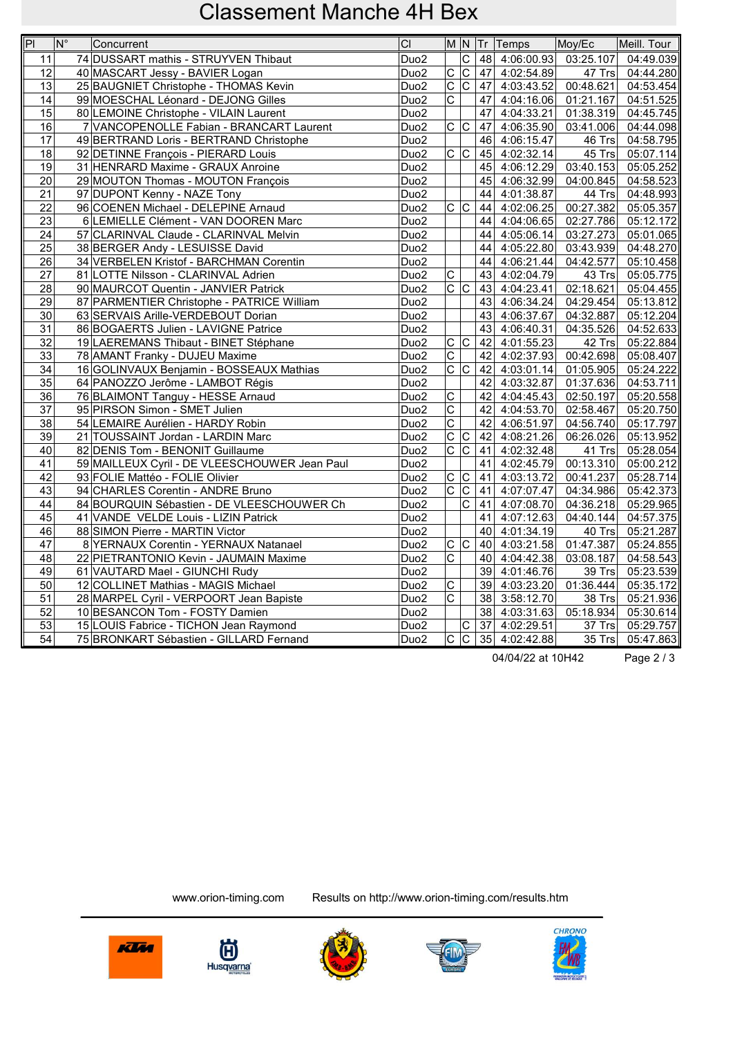| $\overline{P}$  | $\overline{\mathsf{N}^{\circ}}$ | Concurrent                                    | CI               |                         |                           |    | M N Tr Temps            | Moy/Ec    | Meill. Tour |
|-----------------|---------------------------------|-----------------------------------------------|------------------|-------------------------|---------------------------|----|-------------------------|-----------|-------------|
| 11              |                                 | 74 DUSSART mathis - STRUYVEN Thibaut          | Duo <sub>2</sub> |                         | IС                        | 48 | 4:06:00.93              | 03:25.107 | 04:49.039   |
| $\overline{12}$ |                                 | 40 MASCART Jessy - BAVIER Logan               | Duo <sub>2</sub> | $\overline{C}$          | $\overline{\mathsf{C}}$   |    | 47 4:02:54.89           | 47 Trs    | 04:44.280   |
| 13              |                                 | 25 BAUGNIET Christophe - THOMAS Kevin         | Duo <sub>2</sub> | $\overline{\mathrm{c}}$ | $\overline{\text{c}}$     | 47 | 4:03:43.52              | 00:48.621 | 04:53.454   |
| 14              |                                 | 99 MOESCHAL Léonard - DEJONG Gilles           | Duo <sub>2</sub> | $\overline{\mathrm{c}}$ |                           | 47 | 4:04:16.06              | 01:21.167 | 04:51.525   |
| $\overline{15}$ |                                 | 80 LEMOINE Christophe - VILAIN Laurent        | Duo <sub>2</sub> |                         |                           | 47 | $\overline{4:}04:33.21$ | 01:38.319 | 04:45.745   |
| 16              |                                 | 7 VANCOPENOLLE Fabian - BRANCART Laurent      | Duo <sub>2</sub> | $\overline{c c}$        |                           | 47 | 4:06:35.90              | 03:41.006 | 04:44.098   |
| 17              |                                 | 49 BERTRAND Loris - BERTRAND Christophe       | Duo <sub>2</sub> |                         |                           | 46 | 4:06:15.47              | 46 Trs    | 04:58.795   |
| 18              |                                 | 92 DETINNE François - PIERARD Louis           | Duo <sub>2</sub> | c c                     |                           |    | 45 4:02:32.14           | 45 Trs    | 05:07.114   |
| 19              |                                 | 31 HENRARD Maxime - GRAUX Anroine             | Duo <sub>2</sub> |                         |                           | 45 | 4:06:12.29              | 03:40.153 | 05:05.252   |
| $\overline{20}$ |                                 | 29 MOUTON Thomas - MOUTON François            | Duo <sub>2</sub> |                         |                           | 45 | 4:06:32.99              | 04:00.845 | 04:58.523   |
| 21              |                                 | 97 DUPONT Kenny - NAZE Tony                   | Duo <sub>2</sub> |                         |                           | 44 | 4:01:38.87              | 44 Trs    | 04:48.993   |
| 22              |                                 | 96 COENEN Michael - DELEPINE Arnaud           | Duo <sub>2</sub> | $\overline{c c}$        |                           | 44 | 4:02:06.25              | 00:27.382 | 05:05.357   |
| 23              |                                 | 6 LEMIELLE Clément - VAN DOOREN Marc          | Duo <sub>2</sub> |                         |                           | 44 | 4:04:06.65              | 02:27.786 | 05:12.172   |
| 24              |                                 | 57 CLARINVAL Claude - CLARINVAL Melvin        | Duo <sub>2</sub> |                         |                           | 44 | 4:05:06.14              | 03:27.273 | 05:01.065   |
| 25              |                                 | 38 BERGER Andy - LESUISSE David               | Duo <sub>2</sub> |                         |                           | 44 | 4:05:22.80              | 03:43.939 | 04:48.270   |
| 26              |                                 | 34 VERBELEN Kristof - BARCHMAN Corentin       | Duo <sub>2</sub> |                         |                           | 44 | 4:06:21.44              | 04:42.577 | 05:10.458   |
| 27              |                                 | 81 LOTTE Nilsson - CLARINVAL Adrien           | Duo <sub>2</sub> | C                       |                           | 43 | $\boxed{4:02:04.79}$    | 43 Trs    | 05:05.775   |
| 28              |                                 | 90 MAURCOT Quentin - JANVIER Patrick          | Duo <sub>2</sub> | $\overline{c c}$        |                           | 43 | 4:04:23.41              | 02:18.621 | 05:04.455   |
| 29              |                                 | 87 PARMENTIER Christophe - PATRICE William    | Duo <sub>2</sub> |                         |                           |    | 43 4:06:34.24           | 04:29.454 | 05:13.812   |
| 30              |                                 | 63 SERVAIS Arille-VERDEBOUT Dorian            | Duo <sub>2</sub> |                         |                           | 43 | 4:06:37.67              | 04:32.887 | 05:12.204   |
| 31              |                                 | 86 BOGAERTS Julien - LAVIGNE Patrice          | Duo <sub>2</sub> |                         |                           | 43 | 4:06:40.31              | 04:35.526 | 04:52.633   |
| 32              |                                 | 19 LAEREMANS Thibaut - BINET Stéphane         | Duo <sub>2</sub> | $\overline{c c}$        |                           | 42 | 4:01:55.23              | 42 Trs    | 05:22.884   |
| 33              |                                 | 78 AMANT Franky - DUJEU Maxime                | Duo <sub>2</sub> | $\overline{\mathrm{c}}$ |                           | 42 | 4:02:37.93              | 00:42.698 | 05:08.407   |
| 34              |                                 | 16 GOLINVAUX Benjamin - BOSSEAUX Mathias      | Duo <sub>2</sub> | $\overline{\text{c}}$   | c                         | 42 | 4:03:01.14              | 01:05.905 | 05:24.222   |
| 35              |                                 | 64 PANOZZO Jerôme - LAMBOT Régis              | Duo <sub>2</sub> |                         |                           | 42 | 4:03:32.87              | 01:37.636 | 04:53.711   |
| 36              |                                 | 76 BLAIMONT Tanguy - HESSE Arnaud             | Duo <sub>2</sub> | $\overline{C}$          |                           | 42 | 4:04:45.43              | 02:50.197 | 05:20.558   |
| 37              |                                 | 95 PIRSON Simon - SMET Julien                 | Duo <sub>2</sub> | $\overline{C}$          |                           | 42 | 4:04:53.70              | 02:58.467 | 05:20.750   |
| 38              |                                 | 54 LEMAIRE Aurélien - HARDY Robin             | Duo <sub>2</sub> | $\overline{\mathrm{c}}$ |                           | 42 | 4:06:51.97              | 04:56.740 | 05:17.797   |
| $\overline{39}$ |                                 | 21 TOUSSAINT Jordan - LARDIN Marc             | Duo <sub>2</sub> | $\overline{\mathsf{C}}$ | $\overline{\mathsf{c}}$   | 42 | 4:08:21.26              | 06:26.026 | 05:13.952   |
| 40              |                                 | 82 DENIS Tom - BENONIT Guillaume              | Duo <sub>2</sub> | $\overline{\mathrm{c}}$ | $\overline{\mathsf{C}}$   |    | 41 4:02:32.48           | 41 Trs    | 05:28.054   |
| 41              |                                 | 59 MAILLEUX Cyril - DE VLEESCHOUWER Jean Paul | Duo <sub>2</sub> |                         |                           | 41 | 4:02:45.79              | 00:13.310 | 05:00.212   |
| 42              |                                 | 93 FOLIE Mattéo - FOLIE Olivier               | Duo <sub>2</sub> | $\overline{C}$          | C)                        | 41 | 4:03:13.72              | 00:41.237 | 05:28.714   |
| 43              |                                 | 94 CHARLES Corentin - ANDRE Bruno             | Duo <sub>2</sub> | $\overline{\mathrm{c}}$ | $ \mathsf{C} $            | 41 | 4:07:07.47              | 04:34.986 | 05:42.373   |
| 44              |                                 | 84 BOURQUIN Sébastien - DE VLEESCHOUWER Ch    | Duo <sub>2</sub> |                         | $\overline{\text{c}}$     | 41 | 4:07:08.70              | 04:36.218 | 05:29.965   |
| 45              |                                 | 41 VANDE VELDE Louis - LIZIN Patrick          | Duo <sub>2</sub> |                         |                           | 41 | 4:07:12.63              | 04:40.144 | 04:57.375   |
| 46              |                                 | 88 SIMON Pierre - MARTIN Victor               | Duo <sub>2</sub> |                         |                           | 40 | 4:01:34.19              | 40 Trs    | 05:21.287   |
| 47              |                                 | 8 YERNAUX Corentin - YERNAUX Natanael         | Duo <sub>2</sub> | $\overline{C}$          | c                         | 40 | 4:03:21.58              | 01:47.387 | 05:24.855   |
| $\overline{48}$ |                                 | 22 PIETRANTONIO Kevin - JAUMAIN Maxime        | Duo <sub>2</sub> | $\overline{\mathrm{c}}$ |                           | 40 | 4:04:42.38              | 03:08.187 | 04:58.543   |
| 49              |                                 | 61 VAUTARD Mael - GIUNCHI Rudy                | Duo <sub>2</sub> |                         |                           | 39 | 4:01:46.76              | 39 Trs    | 05:23.539   |
| 50              |                                 | 12 COLLINET Mathias - MAGIS Michael           | Duo <sub>2</sub> | $\overline{C}$          |                           |    | 39 4:03:23.20           | 01:36.444 | 05:35.172   |
| 51              |                                 | 28 MARPEL Cyril - VERPOORT Jean Bapiste       | Duo <sub>2</sub> | $\overline{\text{c}}$   |                           |    | 38 3:58:12.70           | 38 Trs    | 05:21.936   |
| 52              |                                 | 10 BESANCON Tom - FOSTY Damien                | Duo <sub>2</sub> |                         |                           | 38 | 4:03:31.63              | 05:18.934 | 05:30.614   |
| $\overline{53}$ |                                 | 15 LOUIS Fabrice - TICHON Jean Raymond        | Duo <sub>2</sub> |                         | C                         | 37 | 4:02:29.51              | 37 Trs    | 05:29.757   |
| $\overline{54}$ |                                 | 75 BRONKART Sébastien - GILLARD Fernand       | Duo <sub>2</sub> | $\overline{\mathrm{c}}$ | $\overline{\overline{C}}$ |    | 35 4:02:42.88           | 35 Trs    | 05:47.863   |

04/04/22 at 10H42 Page 2 / 3